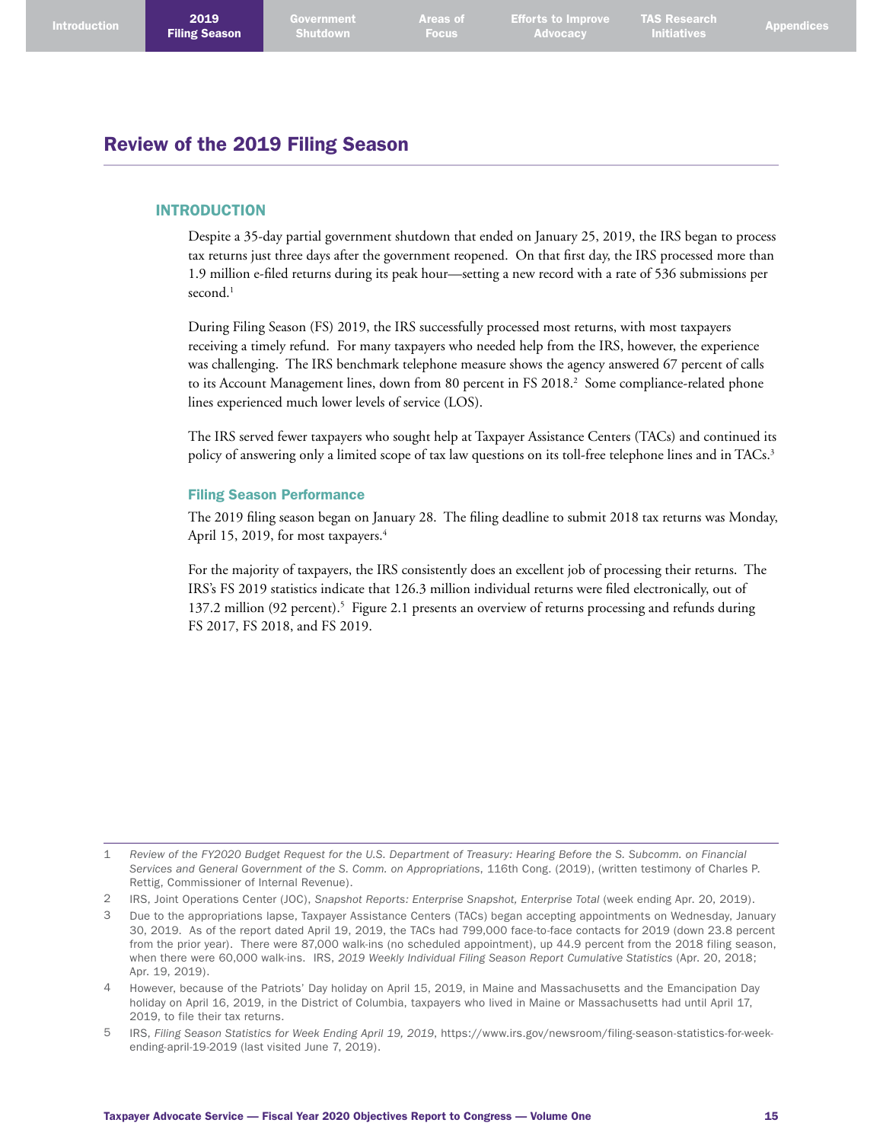## Review of the 2019 Filing Season

## INTRODUCTION

Despite a 35-day partial government shutdown that ended on January 25, 2019, the IRS began to process tax returns just three days after the government reopened. On that first day, the IRS processed more than 1.9 million e-filed returns during its peak hour—setting a new record with a rate of 536 submissions per second. 1

During Filing Season (FS) 2019, the IRS successfully processed most returns, with most taxpayers receiving a timely refund. For many taxpayers who needed help from the IRS, however, the experience was challenging. The IRS benchmark telephone measure shows the agency answered 67 percent of calls to its Account Management lines, down from 80 percent in FS 2018. 2 Some compliance-related phone lines experienced much lower levels of service (LOS).

The IRS served fewer taxpayers who sought help at Taxpayer Assistance Centers (TACs) and continued its policy of answering only a limited scope of tax law questions on its toll-free telephone lines and in TACs. 3

### Filing Season Performance

The 2019 filing season began on January 28. The filing deadline to submit 2018 tax returns was Monday, April 15, 2019, for most taxpayers. 4

For the majority of taxpayers, the IRS consistently does an excellent job of processing their returns. The IRS's FS 2019 statistics indicate that 126.3 million individual returns were filed electronically, out of 137.2 million (92 percent). 5 Figure 2.1 presents an overview of returns processing and refunds during FS 2017, FS 2018, and FS 2019.

5 IRS, *Filing Season Statistics for Week Ending April 19, 2019*, [https://www.irs.gov/newsroom/filing-season-statistics-for-week](https://www.irs.gov/newsroom/filing-season-statistics-for-week-ending-april-19-2019)[ending-april-19-2019](https://www.irs.gov/newsroom/filing-season-statistics-for-week-ending-april-19-2019) (last visited June 7, 2019).

<sup>1</sup> *Review of the FY2020 Budget Request for the U.S. Department of Treasury: Hearing Before the S. Subcomm. on Financial Services and General Government of the S. Comm. on Appropriations*, 116th Cong. (2019), (written testimony of Charles P. Rettig, Commissioner of Internal Revenue).

<sup>2</sup> IRS, Joint Operations Center (JOC), *Snapshot Reports: Enterprise Snapshot, Enterprise Total* (week ending Apr. 20, 2019).

<sup>3</sup> Due to the appropriations lapse, Taxpayer Assistance Centers (TACs) began accepting appointments on Wednesday, January 30, 2019. As of the report dated April 19, 2019, the TACs had 799,000 face-to-face contacts for 2019 (down 23.8 percent from the prior year). There were 87,000 walk-ins (no scheduled appointment), up 44.9 percent from the 2018 filing season, when there were 60,000 walk-ins. IRS, *2019 Weekly Individual Filing Season Report Cumulative Statistics* (Apr. 20, 2018; Apr. 19, 2019).

<sup>4</sup> However, because of the Patriots' Day holiday on April 15, 2019, in Maine and Massachusetts and the Emancipation Day holiday on April 16, 2019, in the District of Columbia, taxpayers who lived in Maine or Massachusetts had until April 17, 2019, to file their tax returns.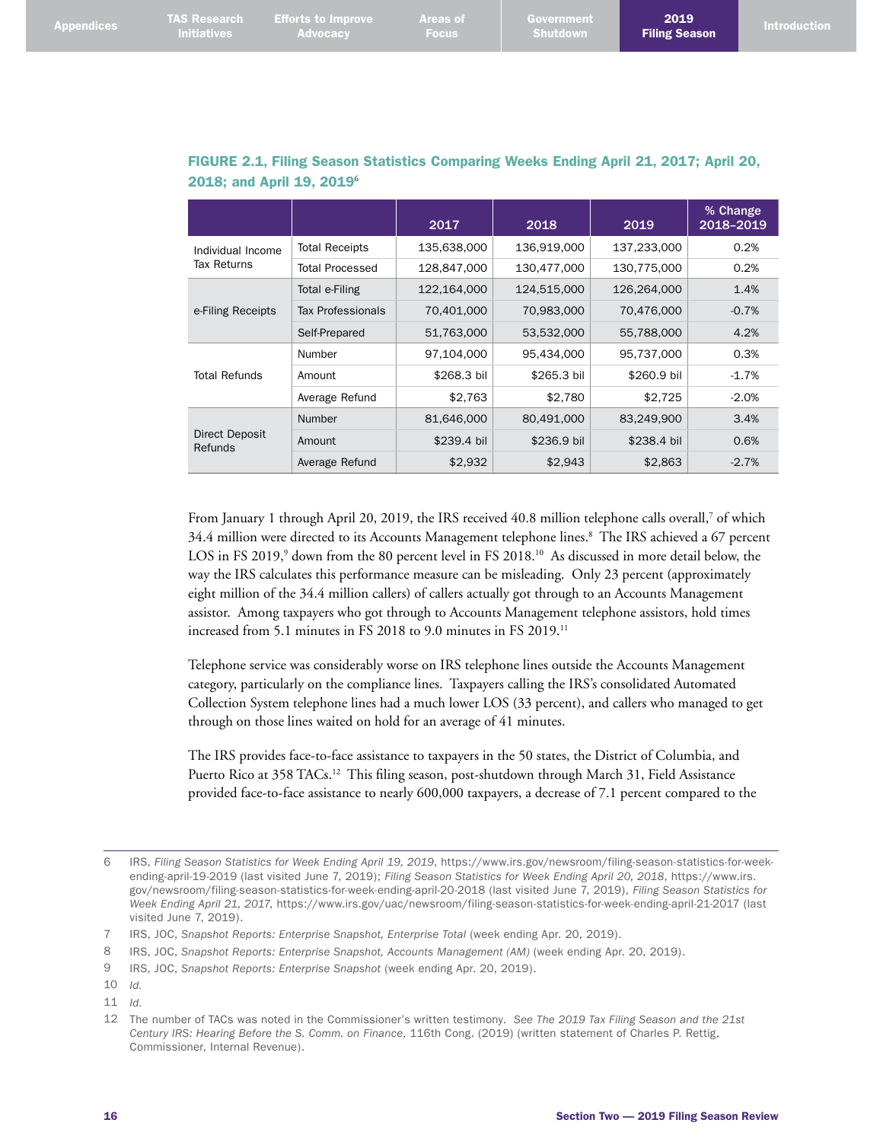| <b>Appendices</b> | <b>Initiatives</b> | TAS Research Efforts to Improve<br>Advocacy | <b>Areas of</b><br><b>Focus</b> | <b>Government</b><br>Shutdown | 2019<br><b>Filing Season</b> | <b>Introduction</b> |
|-------------------|--------------------|---------------------------------------------|---------------------------------|-------------------------------|------------------------------|---------------------|
|                   |                    |                                             |                                 |                               |                              |                     |

|                                         |                          | 2017        | 2018        | 2019        | % Change<br>2018-2019 |
|-----------------------------------------|--------------------------|-------------|-------------|-------------|-----------------------|
| Individual Income                       | <b>Total Receipts</b>    | 135,638,000 | 136,919,000 | 137,233,000 | 0.2%                  |
| Tax Returns                             | <b>Total Processed</b>   | 128,847,000 | 130,477,000 | 130,775,000 | 0.2%                  |
|                                         | Total e-Filing           | 122,164,000 | 124,515,000 | 126,264,000 | 1.4%                  |
| e-Filing Receipts                       | <b>Tax Professionals</b> | 70,401,000  | 70,983,000  | 70,476,000  | $-0.7%$               |
|                                         | Self-Prepared            | 51,763,000  | 53,532,000  | 55,788,000  | 4.2%                  |
|                                         | Number                   | 97.104.000  | 95,434,000  | 95,737,000  | 0.3%                  |
| <b>Total Refunds</b>                    | Amount                   | \$268.3 bil | \$265.3 bil | \$260.9 bil | $-1.7%$               |
|                                         | Average Refund           | \$2,763     | \$2,780     | \$2,725     | $-2.0%$               |
|                                         | Number                   | 81,646,000  | 80,491,000  | 83,249,900  | 3.4%                  |
| <b>Direct Deposit</b><br><b>Refunds</b> | Amount                   | \$239.4 bil | \$236.9 bil | \$238.4 bil | 0.6%                  |
|                                         | Average Refund           | \$2,932     | \$2,943     | \$2,863     | $-2.7%$               |

## FIGURE 2.1, Filing Season Statistics Comparing Weeks Ending April 21, 2017; April 20, 2018; and April 19, 2019<sup>6</sup>

From January 1 through April 20, 2019, the IRS received 40.8 million telephone calls overall,<sup>7</sup> of which 34.4 million were directed to its Accounts Management telephone lines. 8 The IRS achieved a 67 percent LOS in FS 2019,<sup>9</sup> down from the 80 percent level in FS 2018.<sup>10</sup> As discussed in more detail below, the way the IRS calculates this performance measure can be misleading. Only 23 percent (approximately eight million of the 34.4 million callers) of callers actually got through to an Accounts Management assistor. Among taxpayers who got through to Accounts Management telephone assistors, hold times increased from 5.1 minutes in FS 2018 to 9.0 minutes in FS 2019.<sup>11</sup>

Telephone service was considerably worse on IRS telephone lines outside the Accounts Management category, particularly on the compliance lines. Taxpayers calling the IRS's consolidated Automated Collection System telephone lines had a much lower LOS (33 percent), and callers who managed to get through on those lines waited on hold for an average of 41 minutes.

The IRS provides face-to-face assistance to taxpayers in the 50 states, the District of Columbia, and Puerto Rico at 358 TACs.<sup>12</sup> This filing season, post-shutdown through March 31, Field Assistance provided face-to-face assistance to nearly 600,000 taxpayers, a decrease of 7.1 percent compared to the

<sup>6</sup> IRS, *Filing Season Statistics for Week Ending April 19, 2019*, [https://www.irs.gov/newsroom/filing-season-statistics-for-week](https://www.irs.gov/newsroom/filing-season-statistics-for-week-ending-april-19-2019)[ending-april-19-2019](https://www.irs.gov/newsroom/filing-season-statistics-for-week-ending-april-19-2019) (last visited June 7, 2019); *Filing Season Statistics for Week Ending April 20, 2018*, [https://www.irs.](https://www.irs.gov/newsroom/filing-season-statistics-for-week-ending-april-20-2018) [gov/newsroom/filing-season-statistics-for-week-ending-april-20-2018](https://www.irs.gov/newsroom/filing-season-statistics-for-week-ending-april-20-2018) (last visited June 7, 2019), *Filing Season Statistics for Week Ending April 21, 2017*, <https://www.irs.gov/uac/newsroom/filing-season-statistics-for-week-ending-april-21-2017> (last visited June 7, 2019).

<sup>7</sup> IRS, JOC, *Snapshot Reports: Enterprise Snapshot, Enterprise Total* (week ending Apr. 20, 2019).

<sup>8</sup> IRS, JOC, *Snapshot Reports: Enterprise Snapshot, Accounts Management (AM)* (week ending Apr. 20, 2019).

<sup>9</sup> IRS, JOC, *Snapshot Reports: Enterprise Snapshot* (week ending Apr. 20, 2019).

<sup>10</sup> *Id*.

<sup>11</sup> *Id*.

<sup>12</sup> The number of TACs was noted in the Commissioner's written testimony. *See The 2019 Tax Filing Season and the 21st Century IRS: Hearing Before the S. Comm. on Finance*, 116th Cong. (2019) (written statement of Charles P. Rettig, Commissioner, Internal Revenue).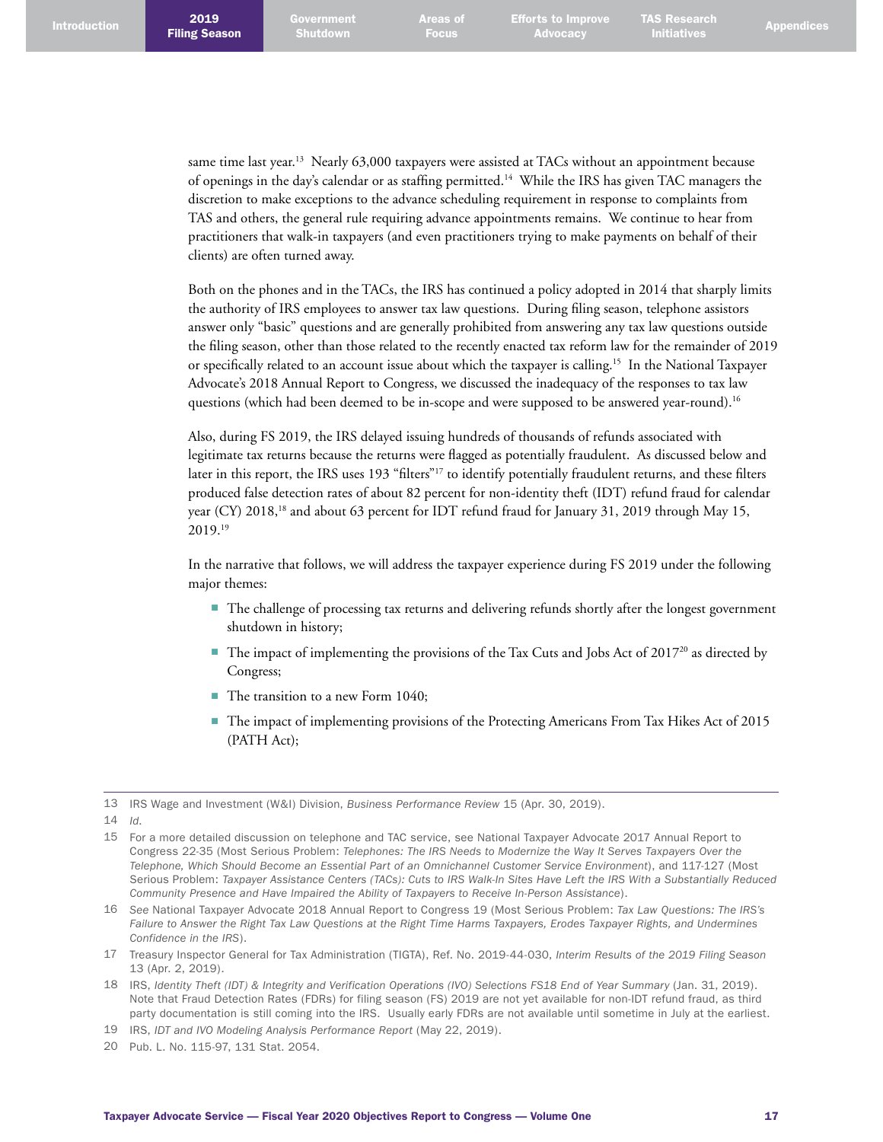Efforts to Improve **Advocacy** 

TAS Research

same time last year.<sup>13</sup> Nearly 63,000 taxpayers were assisted at TACs without an appointment because of openings in the day's calendar or as staffing permitted. 14 While the IRS has given TAC managers the discretion to make exceptions to the advance scheduling requirement in response to complaints from TAS and others, the general rule requiring advance appointments remains. We continue to hear from practitioners that walk-in taxpayers (and even practitioners trying to make payments on behalf of their clients) are often turned away.

Both on the phones and in the TACs, the IRS has continued a policy adopted in 2014 that sharply limits the authority of IRS employees to answer tax law questions. During filing season, telephone assistors answer only "basic" questions and are generally prohibited from answering any tax law questions outside the filing season, other than those related to the recently enacted tax reform law for the remainder of 2019 or specifically related to an account issue about which the taxpayer is calling. 15 In the National Taxpayer Advocate's 2018 Annual Report to Congress, we discussed the inadequacy of the responses to tax law questions (which had been deemed to be in-scope and were supposed to be answered year-round). 16

Also, during FS 2019, the IRS delayed issuing hundreds of thousands of refunds associated with legitimate tax returns because the returns were flagged as potentially fraudulent. As discussed below and later in this report, the IRS uses 193 "filters"<sup>17</sup> to identify potentially fraudulent returns, and these filters produced false detection rates of about 82 percent for non-identity theft (IDT) refund fraud for calendar year (CY) 2018,<sup>18</sup> and about 63 percent for IDT refund fraud for January 31, 2019 through May 15, 2019. 19

In the narrative that follows, we will address the taxpayer experience during FS 2019 under the following major themes:

- The challenge of processing tax returns and delivering refunds shortly after the longest government shutdown in history;
- The impact of implementing the provisions of the Tax Cuts and Jobs Act of 2017<sup>20</sup> as directed by Congress;
- The transition to a new Form 1040;
- The impact of implementing provisions of the Protecting Americans From Tax Hikes Act of 2015 (PATH Act);

<sup>13</sup> IRS Wage and Investment (W&I) Division, *Business Performance Review* 15 (Apr. 30, 2019).

<sup>14</sup> *Id*.

<sup>15</sup> For a more detailed discussion on telephone and TAC service, see National Taxpayer Advocate 2017 Annual Report to Congress 22-35 (Most Serious Problem: *Telephones: The IRS Needs to Modernize the Way It Serves Taxpayers Over the Telephone, Which Should Become an Essential Part of an Omnichannel Customer Service Environment*), and 117-127 (Most Serious Problem: *Taxpayer Assistance Centers (TACs): Cuts to IRS Walk-In Sites Have Left the IRS With a Substantially Reduced Community Presence and Have Impaired the Ability of Taxpayers to Receive In-Person Assistance*).

<sup>16</sup> *See* National Taxpayer Advocate 2018 Annual Report to Congress 19 (Most Serious Problem: *Tax Law Questions: The IRS's*  Failure to Answer the Right Tax Law Questions at the Right Time Harms Taxpayers, Erodes Taxpayer Rights, and Undermines *Confidence in the IRS*).

<sup>17</sup> Treasury Inspector General for Tax Administration (TIGTA), Ref. No. 2019-44-030, *Interim Results of the 2019 Filing Season* 13 (Apr. 2, 2019).

<sup>18</sup> IRS, *Identity Theft (IDT) & Integrity and Verification Operations (IVO) Selections FS18 End of Year Summary* (Jan. 31, 2019). Note that Fraud Detection Rates (FDRs) for filing season (FS) 2019 are not yet available for non-IDT refund fraud, as third party documentation is still coming into the IRS. Usually early FDRs are not available until sometime in July at the earliest.

<sup>19</sup> IRS, *IDT and IVO Modeling Analysis Performance Report* (May 22, 2019).

<sup>20</sup> Pub. L. No. 115-97, 131 Stat. 2054.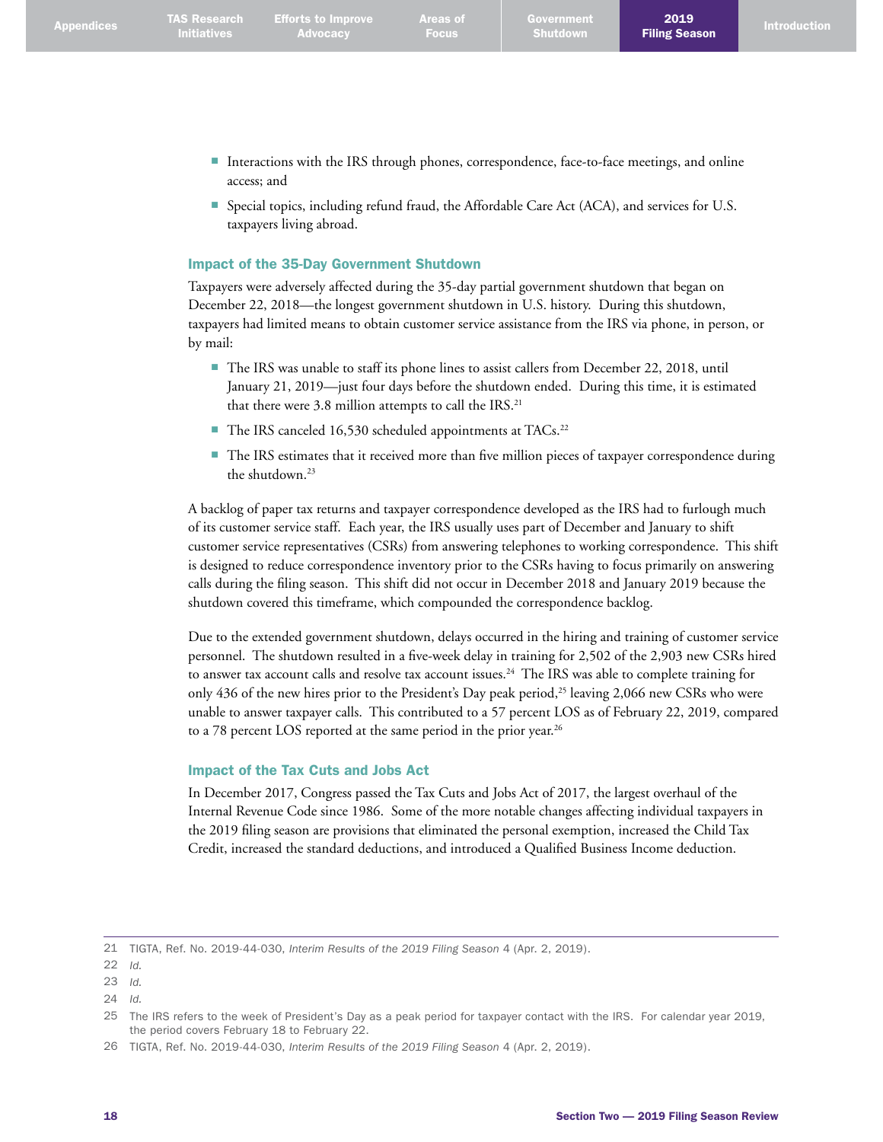2019

- Interactions with the IRS through phones, correspondence, face-to-face meetings, and online access; and
- Special topics, including refund fraud, the Affordable Care Act (ACA), and services for U.S. taxpayers living abroad.

## Impact of the 35-Day Government Shutdown

**Advocacy** 

Taxpayers were adversely affected during the 35-day partial government shutdown that began on December 22, 2018—the longest government shutdown in U.S. history. During this shutdown, taxpayers had limited means to obtain customer service assistance from the IRS via phone, in person, or by mail:

- The IRS was unable to staff its phone lines to assist callers from December 22, 2018, until January 21, 2019—just four days before the shutdown ended. During this time, it is estimated that there were 3.8 million attempts to call the IRS. 21
- The IRS canceled 16,530 scheduled appointments at TACs.<sup>22</sup>
- The IRS estimates that it received more than five million pieces of taxpayer correspondence during the shutdown. 23

A backlog of paper tax returns and taxpayer correspondence developed as the IRS had to furlough much of its customer service staff. Each year, the IRS usually uses part of December and January to shift customer service representatives (CSRs) from answering telephones to working correspondence. This shift is designed to reduce correspondence inventory prior to the CSRs having to focus primarily on answering calls during the filing season. This shift did not occur in December 2018 and January 2019 because the shutdown covered this timeframe, which compounded the correspondence backlog.

Due to the extended government shutdown, delays occurred in the hiring and training of customer service personnel. The shutdown resulted in a five-week delay in training for 2,502 of the 2,903 new CSRs hired to answer tax account calls and resolve tax account issues. 24 The IRS was able to complete training for only 436 of the new hires prior to the President's Day peak period,<sup>25</sup> leaving 2,066 new CSRs who were unable to answer taxpayer calls. This contributed to a 57 percent LOS as of February 22, 2019, compared to a 78 percent LOS reported at the same period in the prior year.<sup>26</sup>

## Impact of the Tax Cuts and Jobs Act

In December 2017, Congress passed the Tax Cuts and Jobs Act of 2017, the largest overhaul of the Internal Revenue Code since 1986. Some of the more notable changes affecting individual taxpayers in the 2019 filing season are provisions that eliminated the personal exemption, increased the Child Tax Credit, increased the standard deductions, and introduced a Qualified Business Income deduction.

<sup>21</sup> TIGTA, Ref. No. 2019-44-030, *Interim Results of the 2019 Filing Season* 4 (Apr. 2, 2019).

<sup>22</sup> *Id.*

<sup>23</sup> *Id.*

<sup>24</sup> *Id.*

<sup>25</sup> The IRS refers to the week of President's Day as a peak period for taxpayer contact with the IRS. For calendar year 2019, the period covers February 18 to February 22.

<sup>26</sup> TIGTA, Ref. No. 2019-44-030, *Interim Results of the 2019 Filing Season* 4 (Apr. 2, 2019).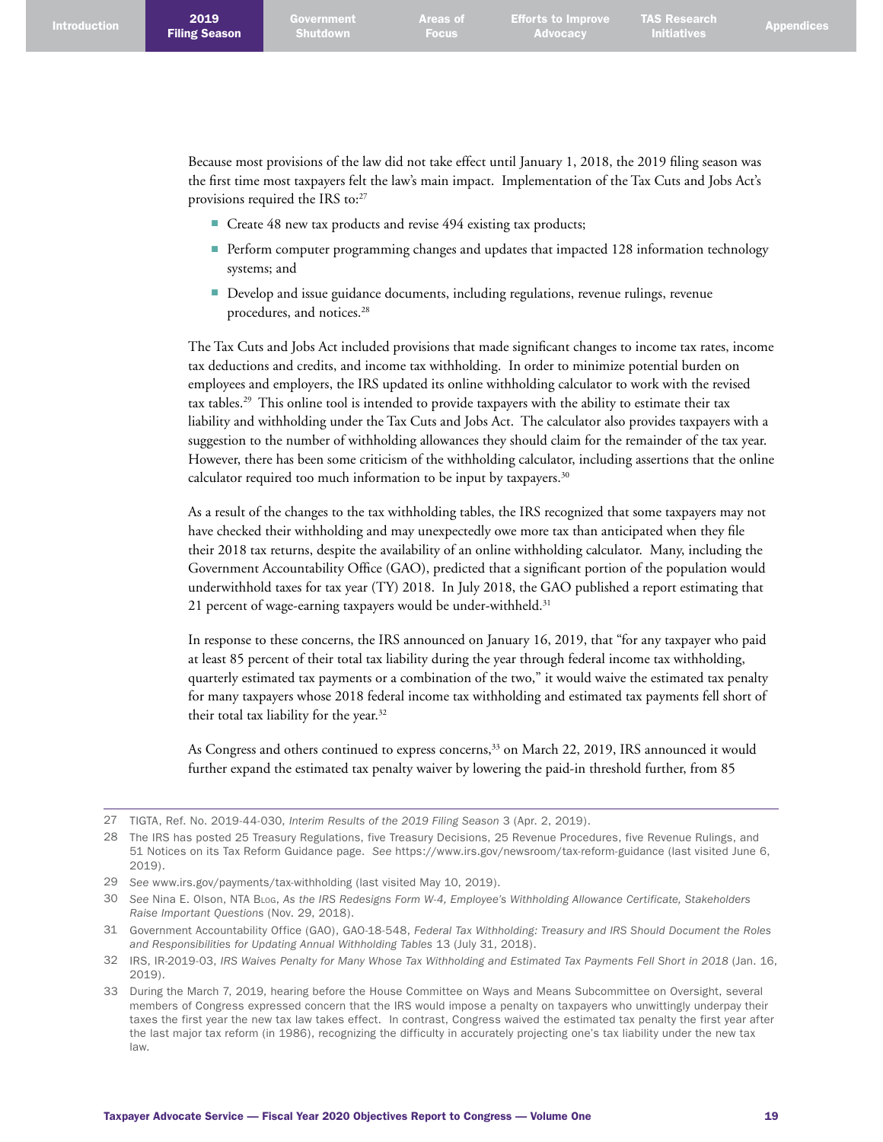Because most provisions of the law did not take effect until January 1, 2018, the 2019 filing season was the first time most taxpayers felt the law's main impact. Implementation of the Tax Cuts and Jobs Act's provisions required the IRS to:<sup>27</sup>

- Create 48 new tax products and revise 494 existing tax products;
- Perform computer programming changes and updates that impacted 128 information technology systems; and
- Develop and issue guidance documents, including regulations, revenue rulings, revenue procedures, and notices. 28

The Tax Cuts and Jobs Act included provisions that made significant changes to income tax rates, income tax deductions and credits, and income tax withholding. In order to minimize potential burden on employees and employers, the IRS updated its online withholding calculator to work with the revised tax tables. 29 This online tool is intended to provide taxpayers with the ability to estimate their tax liability and withholding under the Tax Cuts and Jobs Act. The calculator also provides taxpayers with a suggestion to the number of withholding allowances they should claim for the remainder of the tax year. However, there has been some criticism of the withholding calculator, including assertions that the online calculator required too much information to be input by taxpayers. 30

As a result of the changes to the tax withholding tables, the IRS recognized that some taxpayers may not have checked their withholding and may unexpectedly owe more tax than anticipated when they file their 2018 tax returns, despite the availability of an online withholding calculator. Many, including the Government Accountability Office (GAO), predicted that a significant portion of the population would underwithhold taxes for tax year (TY) 2018. In July 2018, the GAO published a report estimating that 21 percent of wage-earning taxpayers would be under-withheld. 31

In response to these concerns, the IRS announced on January 16, 2019, that "for any taxpayer who paid at least 85 percent of their total tax liability during the year through federal income tax withholding, quarterly estimated tax payments or a combination of the two," it would waive the estimated tax penalty for many taxpayers whose 2018 federal income tax withholding and estimated tax payments fell short of their total tax liability for the year. 32

As Congress and others continued to express concerns,<sup>33</sup> on March 22, 2019, IRS announced it would further expand the estimated tax penalty waiver by lowering the paid-in threshold further, from 85

<sup>27</sup> TIGTA, Ref. No. 2019-44-030, *Interim Results of the 2019 Filing Season* 3 (Apr. 2, 2019).

<sup>28</sup> The IRS has posted 25 Treasury Regulations, five Treasury Decisions, 25 Revenue Procedures, five Revenue Rulings, and 51 Notices on its Tax Reform Guidance page. *See* <https://www.irs.gov/newsroom/tax-reform-guidance>(last visited June 6, 2019).

<sup>29</sup> *See* [www.irs.gov/payments/tax-withholding](http://www.irs.gov/payments/tax-withholding) (last visited May 10, 2019).

<sup>30</sup> *See* Nina E. Olson, NTA Blog, *As the IRS Redesigns Form W-4, Employee's Withholding Allowance Certificate, Stakeholders Raise Important Questions* (Nov. 29, 2018).

<sup>31</sup> Government Accountability Office (GAO), GAO-18-548, *Federal Tax Withholding: Treasury and IRS Should Document the Roles and Responsibilities for Updating Annual Withholding Tables* 13 (July 31, 2018).

<sup>32</sup> IRS, IR-2019-03, *IRS Waives Penalty for Many Whose Tax Withholding and Estimated Tax Payments Fell Short in 2018* (Jan. 16, 2019).

<sup>33</sup> During the March 7, 2019, hearing before the House Committee on Ways and Means Subcommittee on Oversight, several members of Congress expressed concern that the IRS would impose a penalty on taxpayers who unwittingly underpay their taxes the first year the new tax law takes effect. In contrast, Congress waived the estimated tax penalty the first year after the last major tax reform (in 1986), recognizing the difficulty in accurately projecting one's tax liability under the new tax law.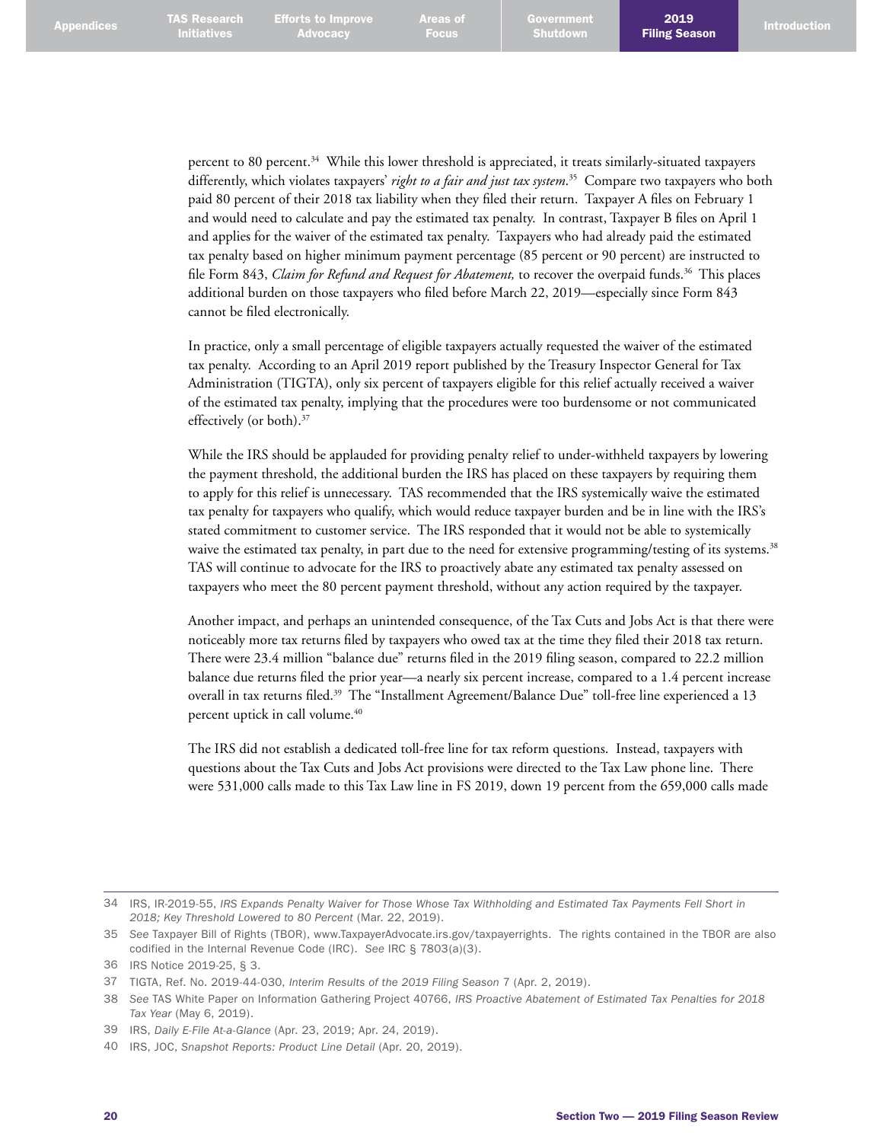percent to 80 percent. 34 While this lower threshold is appreciated, it treats similarly-situated taxpayers differently, which violates taxpayers' *right to a fair and just tax system*. 35 Compare two taxpayers who both paid 80 percent of their 2018 tax liability when they filed their return. Taxpayer A files on February 1 and would need to calculate and pay the estimated tax penalty. In contrast, Taxpayer B files on April 1 and applies for the waiver of the estimated tax penalty. Taxpayers who had already paid the estimated tax penalty based on higher minimum payment percentage (85 percent or 90 percent) are instructed to file Form 843, *Claim for Refund and Request for Abatement,* to recover the overpaid funds. 36 This places additional burden on those taxpayers who filed before March 22, 2019—especially since Form 843 cannot be filed electronically.

In practice, only a small percentage of eligible taxpayers actually requested the waiver of the estimated tax penalty. According to an April 2019 report published by the Treasury Inspector General for Tax Administration (TIGTA), only six percent of taxpayers eligible for this relief actually received a waiver of the estimated tax penalty, implying that the procedures were too burdensome or not communicated effectively (or both). 37

While the IRS should be applauded for providing penalty relief to under-withheld taxpayers by lowering the payment threshold, the additional burden the IRS has placed on these taxpayers by requiring them to apply for this relief is unnecessary. TAS recommended that the IRS systemically waive the estimated tax penalty for taxpayers who qualify, which would reduce taxpayer burden and be in line with the IRS's stated commitment to customer service. The IRS responded that it would not be able to systemically waive the estimated tax penalty, in part due to the need for extensive programming/testing of its systems.<sup>38</sup> TAS will continue to advocate for the IRS to proactively abate any estimated tax penalty assessed on taxpayers who meet the 80 percent payment threshold, without any action required by the taxpayer.

Another impact, and perhaps an unintended consequence, of the Tax Cuts and Jobs Act is that there were noticeably more tax returns filed by taxpayers who owed tax at the time they filed their 2018 tax return. There were 23.4 million "balance due" returns filed in the 2019 filing season, compared to 22.2 million balance due returns filed the prior year—a nearly six percent increase, compared to a 1.4 percent increase overall in tax returns filed. 39 The "Installment Agreement/Balance Due" toll-free line experienced a 13 percent uptick in call volume. 40

The IRS did not establish a dedicated toll-free line for tax reform questions. Instead, taxpayers with questions about the Tax Cuts and Jobs Act provisions were directed to the Tax Law phone line. There were 531,000 calls made to this Tax Law line in FS 2019, down 19 percent from the 659,000 calls made

<sup>34</sup> IRS, IR-2019-55, *IRS Expands Penalty Waiver for Those Whose Tax Withholding and Estimated Tax Payments Fell Short in 2018; Key Threshold Lowered to 80 Percent* (Mar. 22, 2019).

<sup>35</sup> *See* Taxpayer Bill of Rights (TBOR), [www.TaxpayerAdvocate.irs.gov/taxpayerrights](http://www.TaxpayerAdvocate.irs.gov/taxpayerrights). The rights contained in the TBOR are also codified in the Internal Revenue Code (IRC). *See* IRC § 7803(a)(3).

<sup>36</sup> IRS Notice 2019-25, § 3.

<sup>37</sup> TIGTA, Ref. No. 2019-44-030, *Interim Results of the 2019 Filing Season* 7 (Apr. 2, 2019).

<sup>38</sup> *See* TAS White Paper on Information Gathering Project 40766, *IRS Proactive Abatement of Estimated Tax Penalties for 2018 Tax Year* (May 6, 2019).

<sup>39</sup> IRS, *Daily E-File At-a-Glance* (Apr. 23, 2019; Apr. 24, 2019).

<sup>40</sup> IRS, JOC, *Snapshot Reports: Product Line Detail* (Apr. 20, 2019).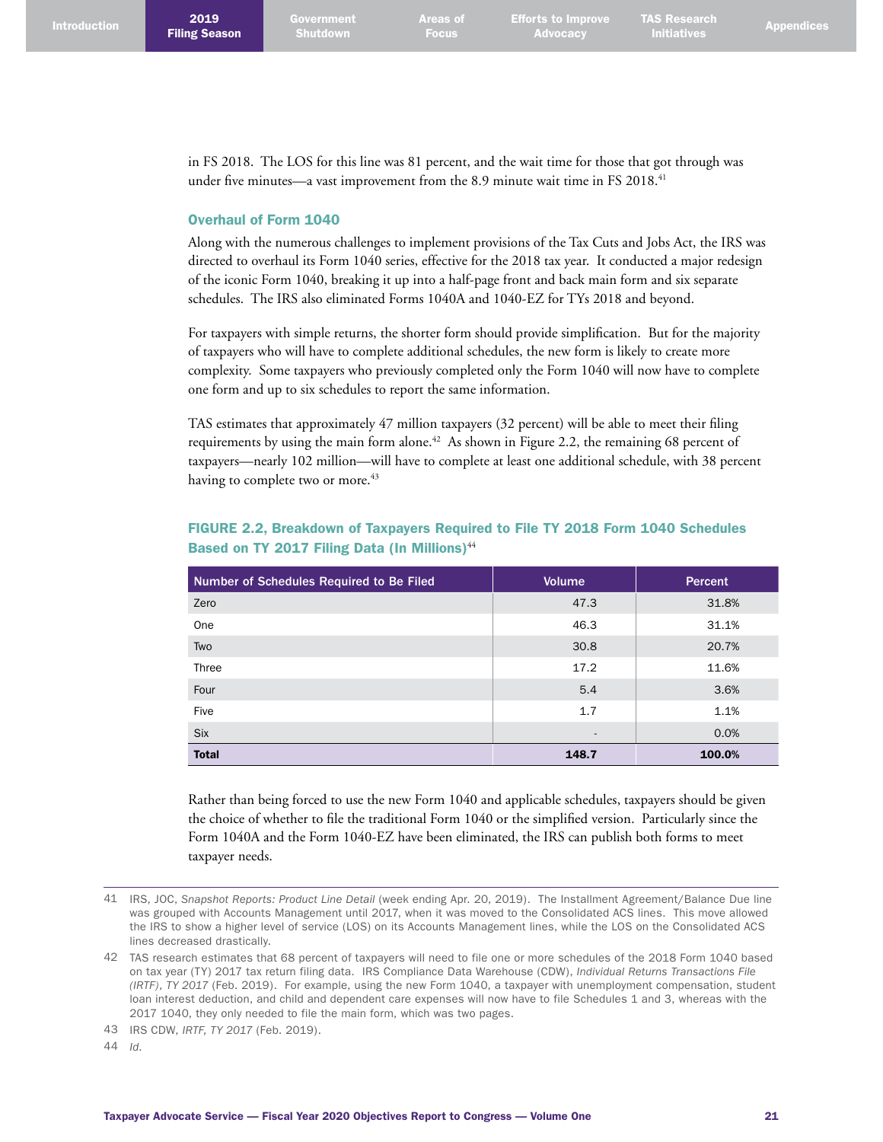in FS 2018. The LOS for this line was 81 percent, and the wait time for those that got through was under five minutes—a vast improvement from the 8.9 minute wait time in FS 2018. 41

### Overhaul of Form 1040

Along with the numerous challenges to implement provisions of the Tax Cuts and Jobs Act, the IRS was directed to overhaul its Form 1040 series, effective for the 2018 tax year. It conducted a major redesign of the iconic Form 1040, breaking it up into a half-page front and back main form and six separate schedules. The IRS also eliminated Forms 1040A and 1040-EZ for TYs 2018 and beyond.

For taxpayers with simple returns, the shorter form should provide simplification. But for the majority of taxpayers who will have to complete additional schedules, the new form is likely to create more complexity. Some taxpayers who previously completed only the Form 1040 will now have to complete one form and up to six schedules to report the same information.

TAS estimates that approximately 47 million taxpayers (32 percent) will be able to meet their filing requirements by using the main form alone. 42 As shown in Figure 2.2, the remaining 68 percent of taxpayers—nearly 102 million—will have to complete at least one additional schedule, with 38 percent having to complete two or more.<sup>43</sup>

| Number of Schedules Required to Be Filed | <b>Volume</b>            | <b>Percent</b> |
|------------------------------------------|--------------------------|----------------|
| Zero                                     | 47.3                     | 31.8%          |
| One                                      | 46.3                     | 31.1%          |
| Two                                      | 30.8                     | 20.7%          |
| Three                                    | 17.2                     | 11.6%          |
| Four                                     | 5.4                      | 3.6%           |
| Five                                     | 1.7                      | 1.1%           |
| <b>Six</b>                               | $\overline{\phantom{a}}$ | 0.0%           |
| <b>Total</b>                             | 148.7                    | 100.0%         |

## FIGURE 2.2, Breakdown of Taxpayers Required to File TY 2018 Form 1040 Schedules Based on TY 2017 Filing Data (In Millions)<sup>44</sup>

Rather than being forced to use the new Form 1040 and applicable schedules, taxpayers should be given the choice of whether to file the traditional Form 1040 or the simplified version. Particularly since the Form 1040A and the Form 1040-EZ have been eliminated, the IRS can publish both forms to meet taxpayer needs.

44 *Id*.

<sup>41</sup> IRS, JOC, *Snapshot Reports: Product Line Detail* (week ending Apr. 20, 2019). The Installment Agreement/Balance Due line was grouped with Accounts Management until 2017, when it was moved to the Consolidated ACS lines. This move allowed the IRS to show a higher level of service (LOS) on its Accounts Management lines, while the LOS on the Consolidated ACS lines decreased drastically.

<sup>42</sup> TAS research estimates that 68 percent of taxpayers will need to file one or more schedules of the 2018 Form 1040 based on tax year (TY) 2017 tax return filing data. IRS Compliance Data Warehouse (CDW), *Individual Returns Transactions File (IRTF)*, *TY 2017* (Feb. 2019). For example, using the new Form 1040, a taxpayer with unemployment compensation, student loan interest deduction, and child and dependent care expenses will now have to file Schedules 1 and 3, whereas with the 2017 1040, they only needed to file the main form, which was two pages.

<sup>43</sup> IRS CDW, *IRTF, TY 2017* (Feb. 2019).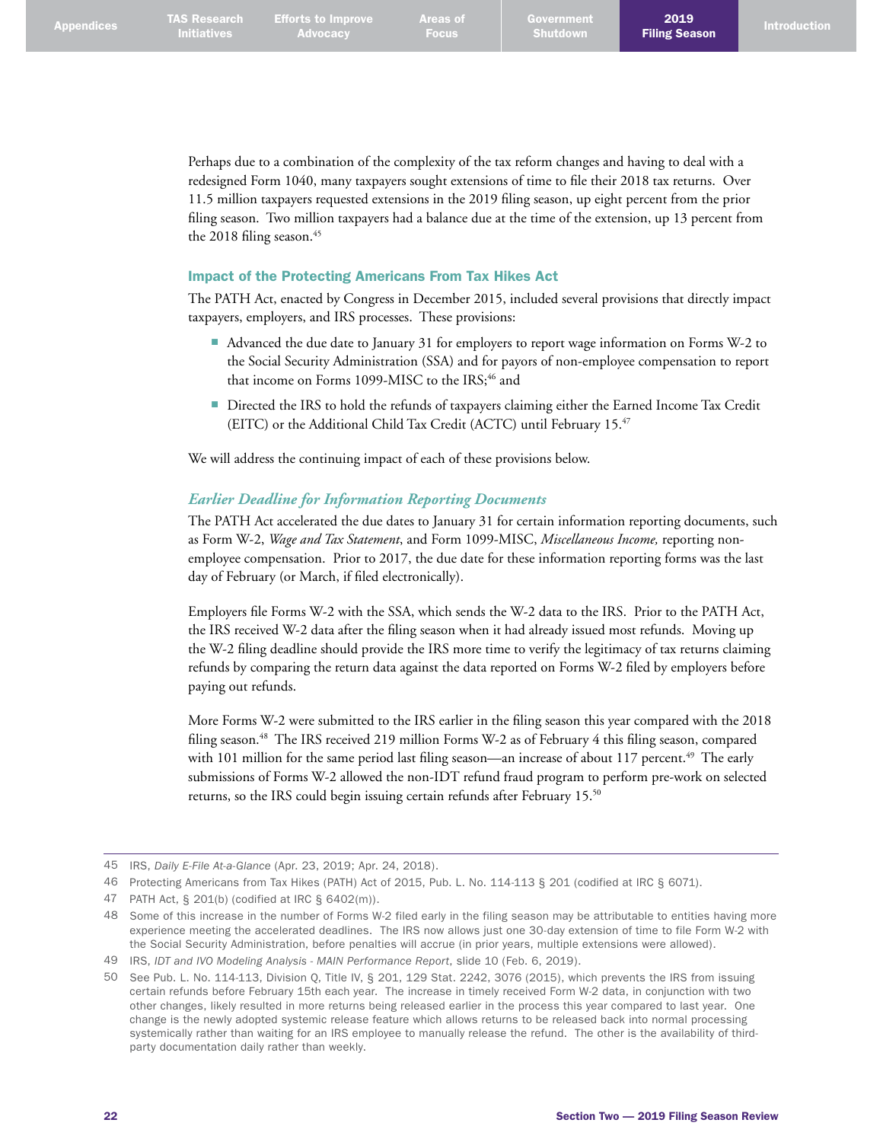Perhaps due to a combination of the complexity of the tax reform changes and having to deal with a redesigned Form 1040, many taxpayers sought extensions of time to file their 2018 tax returns. Over 11.5 million taxpayers requested extensions in the 2019 filing season, up eight percent from the prior filing season. Two million taxpayers had a balance due at the time of the extension, up 13 percent from the 2018 filing season. 45

#### Impact of the Protecting Americans From Tax Hikes Act

The PATH Act, enacted by Congress in December 2015, included several provisions that directly impact taxpayers, employers, and IRS processes. These provisions:

- Advanced the due date to January 31 for employers to report wage information on Forms W-2 to the Social Security Administration (SSA) and for payors of non-employee compensation to report that income on Forms 1099-MISC to the IRS;<sup>46</sup> and
- Directed the IRS to hold the refunds of taxpayers claiming either the Earned Income Tax Credit (EITC) or the Additional Child Tax Credit (ACTC) until February 15.<sup>47</sup>

We will address the continuing impact of each of these provisions below.

#### *Earlier Deadline for Information Reporting Documents*

The PATH Act accelerated the due dates to January 31 for certain information reporting documents, such as Form W-2, *Wage and Tax Statement*, and Form 1099-MISC, *Miscellaneous Income,* reporting nonemployee compensation. Prior to 2017, the due date for these information reporting forms was the last day of February (or March, if filed electronically).

Employers file Forms W-2 with the SSA, which sends the W-2 data to the IRS. Prior to the PATH Act, the IRS received W-2 data after the filing season when it had already issued most refunds. Moving up the W-2 filing deadline should provide the IRS more time to verify the legitimacy of tax returns claiming refunds by comparing the return data against the data reported on Forms W-2 filed by employers before paying out refunds.

More Forms W-2 were submitted to the IRS earlier in the filing season this year compared with the 2018 filing season.<sup>48</sup> The IRS received 219 million Forms W-2 as of February 4 this filing season, compared with 101 million for the same period last filing season—an increase of about 117 percent.<sup>49</sup> The early submissions of Forms W-2 allowed the non-IDT refund fraud program to perform pre-work on selected returns, so the IRS could begin issuing certain refunds after February 15. 50

<sup>45</sup> IRS, *Daily E-File At-a-Glance* (Apr. 23, 2019; Apr. 24, 2018).

<sup>46</sup> Protecting Americans from Tax Hikes (PATH) Act of 2015, Pub. L. No. 114-113 § 201 (codified at IRC § 6071).

<sup>47</sup> PATH Act, § 201(b) (codified at IRC § 6402(m)).

<sup>48</sup> Some of this increase in the number of Forms W-2 filed early in the filing season may be attributable to entities having more experience meeting the accelerated deadlines. The IRS now allows just one 30-day extension of time to file Form W-2 with the Social Security Administration, before penalties will accrue (in prior years, multiple extensions were allowed).

<sup>49</sup> IRS, *IDT and IVO Modeling Analysis - MAIN Performance Report*, slide 10 (Feb. 6, 2019).

<sup>50</sup> See Pub. L. No. 114-113, Division Q, Title IV, § 201, 129 Stat. 2242, 3076 (2015), which prevents the IRS from issuing certain refunds before February 15th each year. The increase in timely received Form W-2 data, in conjunction with two other changes, likely resulted in more returns being released earlier in the process this year compared to last year. One change is the newly adopted systemic release feature which allows returns to be released back into normal processing systemically rather than waiting for an IRS employee to manually release the refund. The other is the availability of thirdparty documentation daily rather than weekly.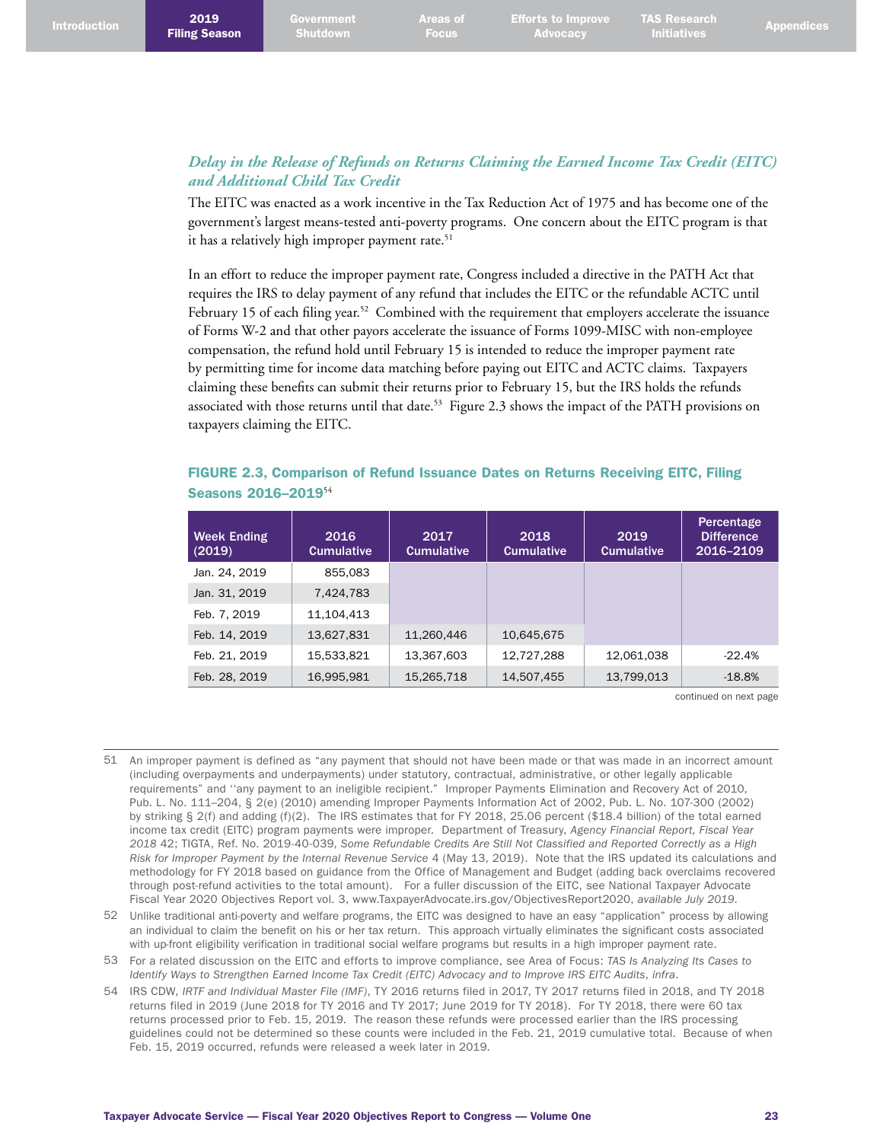## *Delay in the Release of Refunds on Returns Claiming the Earned Income Tax Credit (EITC) and Additional Child Tax Credit*

The EITC was enacted as a work incentive in the Tax Reduction Act of 1975 and has become one of the government's largest means-tested anti-poverty programs. One concern about the EITC program is that it has a relatively high improper payment rate. 51

In an effort to reduce the improper payment rate, Congress included a directive in the PATH Act that requires the IRS to delay payment of any refund that includes the EITC or the refundable ACTC until February 15 of each filing year.<sup>52</sup> Combined with the requirement that employers accelerate the issuance of Forms W-2 and that other payors accelerate the issuance of Forms 1099-MISC with non-employee compensation, the refund hold until February 15 is intended to reduce the improper payment rate by permitting time for income data matching before paying out EITC and ACTC claims. Taxpayers claiming these benefits can submit their returns prior to February 15, but the IRS holds the refunds associated with those returns until that date.<sup>53</sup> Figure 2.3 shows the impact of the PATH provisions on taxpayers claiming the EITC.

## FIGURE 2.3, Comparison of Refund Issuance Dates on Returns Receiving EITC, Filing Seasons 2016–2019<sup>54</sup>

| <b>Week Ending</b><br>(2019) | 2016<br><b>Cumulative</b> | 2017<br><b>Cumulative</b> | 2018<br><b>Cumulative</b> | 2019<br><b>Cumulative</b> | Percentage<br><b>Difference</b><br>2016-2109 |
|------------------------------|---------------------------|---------------------------|---------------------------|---------------------------|----------------------------------------------|
| Jan. 24, 2019                | 855.083                   |                           |                           |                           |                                              |
| Jan. 31, 2019                | 7,424,783                 |                           |                           |                           |                                              |
| Feb. 7, 2019                 | 11,104,413                |                           |                           |                           |                                              |
| Feb. 14, 2019                | 13,627,831                | 11,260,446                | 10,645,675                |                           |                                              |
| Feb. 21, 2019                | 15,533,821                | 13,367,603                | 12,727,288                | 12,061,038                | $-22.4%$                                     |
| Feb. 28, 2019                | 16,995,981                | 15,265,718                | 14,507,455                | 13,799,013                | $-18.8%$                                     |

continued on next page

- 51 An improper payment is defined as "any payment that should not have been made or that was made in an incorrect amount (including overpayments and underpayments) under statutory, contractual, administrative, or other legally applicable requirements" and ''any payment to an ineligible recipient." Improper Payments Elimination and Recovery Act of 2010, Pub. L. No. 111–204, § 2(e) (2010) amending Improper Payments Information Act of 2002, Pub. L. No. 107-300 (2002) by striking § 2(f) and adding (f)(2). The IRS estimates that for FY 2018, 25.06 percent (\$18.4 billion) of the total earned income tax credit (EITC) program payments were improper. Department of Treasury, *Agency Financial Report, Fiscal Year 2018* 42; TIGTA, Ref. No. 2019-40-039, *Some Refundable Credits Are Still Not Classified and Reported Correctly as a High Risk for Improper Payment by the Internal Revenue Service* 4 (May 13, 2019). Note that the IRS updated its calculations and methodology for FY 2018 based on guidance from the Office of Management and Budget (adding back overclaims recovered through post-refund activities to the total amount). For a fuller discussion of the EITC, see National Taxpayer Advocate Fiscal Year 2020 Objectives Report vol. 3, [www.TaxpayerAdvocate.irs.gov/ObjectivesReport2020](http://www.TaxpayerAdvocate.irs.gov/ObjectivesReport2020), *available July 2019*.
- 52 Unlike traditional anti-poverty and welfare programs, the EITC was designed to have an easy "application" process by allowing an individual to claim the benefit on his or her tax return. This approach virtually eliminates the significant costs associated with up-front eligibility verification in traditional social welfare programs but results in a high improper payment rate.
- 53 For a related discussion on the EITC and efforts to improve compliance, see Area of Focus: *TAS Is Analyzing Its Cases to Identify Ways to Strengthen Earned Income Tax Credit (EITC) Advocacy and to Improve IRS EITC Audits*, *infra*.
- 54 IRS CDW, *IRTF and Individual Master File (IMF)*, TY 2016 returns filed in 2017, TY 2017 returns filed in 2018, and TY 2018 returns filed in 2019 (June 2018 for TY 2016 and TY 2017; June 2019 for TY 2018). For TY 2018, there were 60 tax returns processed prior to Feb. 15, 2019. The reason these refunds were processed earlier than the IRS processing guidelines could not be determined so these counts were included in the Feb. 21, 2019 cumulative total. Because of when Feb. 15, 2019 occurred, refunds were released a week later in 2019.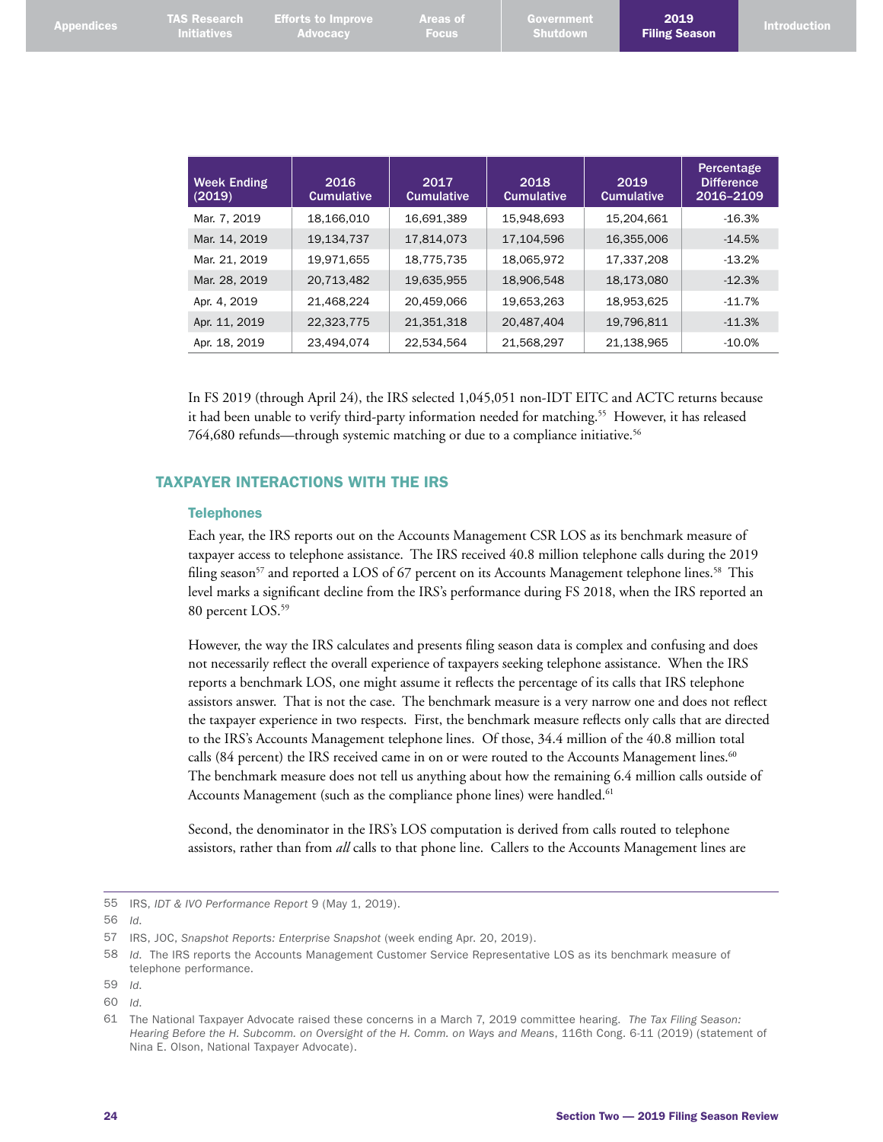| <b>Appendices</b> | <b>TAS Research</b><br><b>Initiatives</b> | <b>Efforts to Improve</b><br><b>Advocacy</b> | <b>Areas of</b><br><b>Focus</b> | Government<br><b>Shutdown</b> |                           | 2019<br><b>Introduction</b><br><b>Filing Season</b> |
|-------------------|-------------------------------------------|----------------------------------------------|---------------------------------|-------------------------------|---------------------------|-----------------------------------------------------|
|                   | <b>Week Ending</b><br>(2019)              | 2016<br><b>Cumulative</b>                    | 2017<br><b>Cumulative</b>       | 2018<br><b>Cumulative</b>     | 2019<br><b>Cumulative</b> | Percentage<br><b>Difference</b><br>2016-2109        |
|                   | Mar. 7, 2019                              | 18,166,010                                   | 16,691,389                      | 15,948,693                    | 15,204,661                | $-16.3%$                                            |
|                   | Mar. 14, 2019                             | 19,134,737                                   | 17,814,073                      | 17,104,596                    | 16,355,006                | $-14.5%$                                            |
|                   | Mar. 21, 2019                             | 19,971,655                                   | 18,775,735                      | 18,065,972                    | 17,337,208                | $-13.2%$                                            |
|                   | Mar. 28, 2019                             | 20,713,482                                   | 19,635,955                      | 18,906,548                    | 18,173,080                | $-12.3%$                                            |
|                   | Apr. 4, 2019                              | 21,468,224                                   | 20,459,066                      | 19,653,263                    | 18,953,625                | $-11.7%$                                            |
|                   | Apr. 11, 2019                             | 22,323,775                                   | 21,351,318                      | 20,487,404                    | 19,796,811                | $-11.3%$                                            |
|                   | Apr. 18, 2019                             | 23,494,074                                   | 22,534,564                      | 21,568,297                    | 21,138,965                | $-10.0%$                                            |

In FS 2019 (through April 24), the IRS selected 1,045,051 non-IDT EITC and ACTC returns because it had been unable to verify third-party information needed for matching. 55 However, it has released 764,680 refunds—through systemic matching or due to a compliance initiative. 56

#### TAXPAYER INTERACTIONS WITH THE IRS

#### **Telephones**

Each year, the IRS reports out on the Accounts Management CSR LOS as its benchmark measure of taxpayer access to telephone assistance. The IRS received 40.8 million telephone calls during the 2019 filing season<sup>57</sup> and reported a LOS of 67 percent on its Accounts Management telephone lines.<sup>58</sup> This level marks a significant decline from the IRS's performance during FS 2018, when the IRS reported an 80 percent LOS. 59

However, the way the IRS calculates and presents filing season data is complex and confusing and does not necessarily reflect the overall experience of taxpayers seeking telephone assistance. When the IRS reports a benchmark LOS, one might assume it reflects the percentage of its calls that IRS telephone assistors answer. That is not the case. The benchmark measure is a very narrow one and does not reflect the taxpayer experience in two respects. First, the benchmark measure reflects only calls that are directed to the IRS's Accounts Management telephone lines. Of those, 34.4 million of the 40.8 million total calls (84 percent) the IRS received came in on or were routed to the Accounts Management lines.<sup>60</sup> The benchmark measure does not tell us anything about how the remaining 6.4 million calls outside of Accounts Management (such as the compliance phone lines) were handled. 61

Second, the denominator in the IRS's LOS computation is derived from calls routed to telephone assistors, rather than from *all* calls to that phone line. Callers to the Accounts Management lines are

<sup>55</sup> IRS, *IDT & IVO Performance Report* 9 (May 1, 2019).

<sup>56</sup> *Id*.

<sup>57</sup> IRS, JOC, *Snapshot Reports: Enterprise Snapshot* (week ending Apr. 20, 2019).

<sup>58</sup> *Id*. The IRS reports the Accounts Management Customer Service Representative LOS as its benchmark measure of telephone performance.

<sup>59</sup> *Id*.

<sup>60</sup> *Id*.

<sup>61</sup> The National Taxpayer Advocate raised these concerns in a March 7, 2019 committee hearing. *The Tax Filing Season: Hearing Before the H. Subcomm. on Oversight of the H. Comm. on Ways and Means*, 116th Cong. 6-11 (2019) (statement of Nina E. Olson, National Taxpayer Advocate).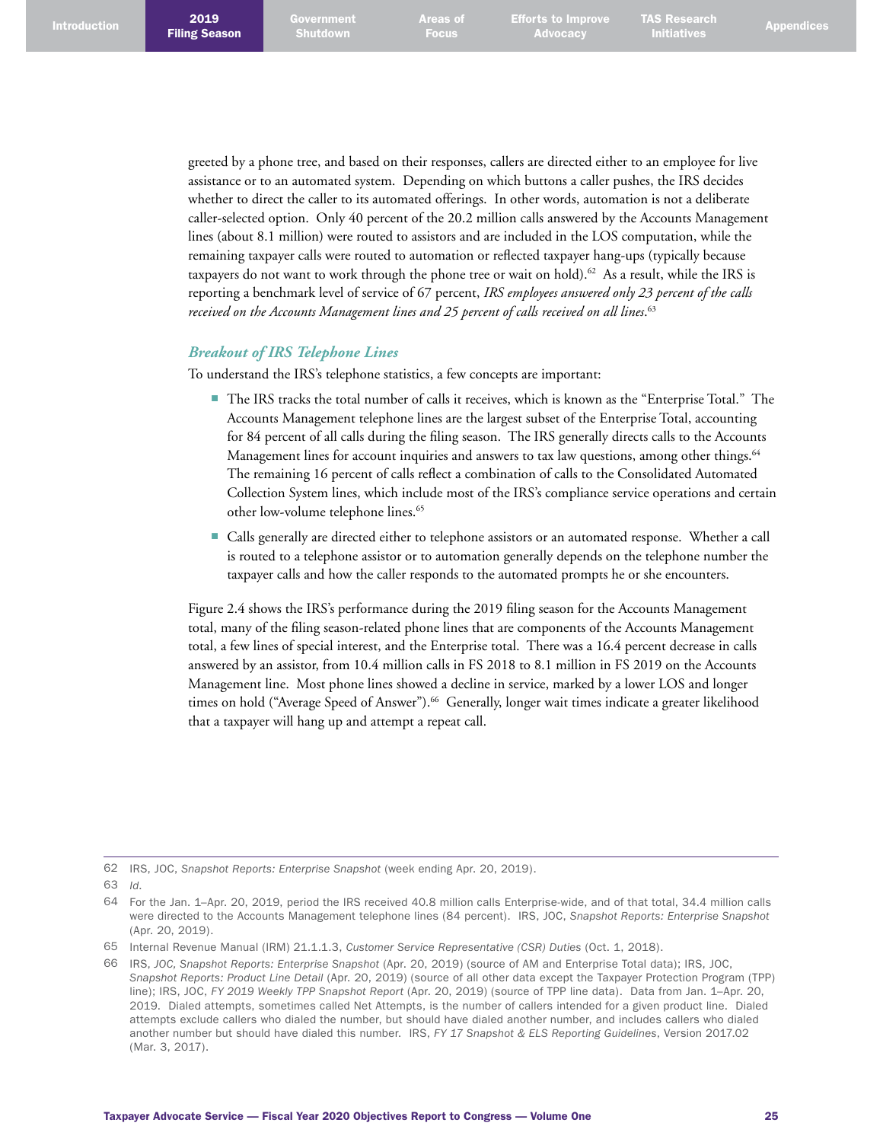greeted by a phone tree, and based on their responses, callers are directed either to an employee for live assistance or to an automated system. Depending on which buttons a caller pushes, the IRS decides whether to direct the caller to its automated offerings. In other words, automation is not a deliberate caller-selected option. Only 40 percent of the 20.2 million calls answered by the Accounts Management lines (about 8.1 million) were routed to assistors and are included in the LOS computation, while the remaining taxpayer calls were routed to automation or reflected taxpayer hang-ups (typically because taxpayers do not want to work through the phone tree or wait on hold). 62 As a result, while the IRS is reporting a benchmark level of service of 67 percent, *IRS employees answered only 23 percent of the calls received on the Accounts Management lines and 25 percent of calls received on all lines*. 63

#### *Breakout of IRS Telephone Lines*

To understand the IRS's telephone statistics, a few concepts are important:

- The IRS tracks the total number of calls it receives, which is known as the "Enterprise Total." The Accounts Management telephone lines are the largest subset of the Enterprise Total, accounting for 84 percent of all calls during the filing season. The IRS generally directs calls to the Accounts Management lines for account inquiries and answers to tax law questions, among other things. 64 The remaining 16 percent of calls reflect a combination of calls to the Consolidated Automated Collection System lines, which include most of the IRS's compliance service operations and certain other low-volume telephone lines. 65
- Calls generally are directed either to telephone assistors or an automated response. Whether a call is routed to a telephone assistor or to automation generally depends on the telephone number the taxpayer calls and how the caller responds to the automated prompts he or she encounters.

Figure 2.4 shows the IRS's performance during the 2019 filing season for the Accounts Management total, many of the filing season-related phone lines that are components of the Accounts Management total, a few lines of special interest, and the Enterprise total. There was a 16.4 percent decrease in calls answered by an assistor, from 10.4 million calls in FS 2018 to 8.1 million in FS 2019 on the Accounts Management line. Most phone lines showed a decline in service, marked by a lower LOS and longer times on hold ("Average Speed of Answer"). 66 Generally, longer wait times indicate a greater likelihood that a taxpayer will hang up and attempt a repeat call.

<sup>62</sup> IRS, JOC, *Snapshot Reports: Enterprise Snapshot* (week ending Apr. 20, 2019).

<sup>63</sup> *Id*.

<sup>64</sup> For the Jan. 1–Apr. 20, 2019, period the IRS received 40.8 million calls Enterprise-wide, and of that total, 34.4 million calls were directed to the Accounts Management telephone lines (84 percent). IRS, JOC, *Snapshot Reports: Enterprise Snapshot*  (Apr. 20, 2019).

<sup>65</sup> Internal Revenue Manual (IRM) 21.1.1.3, *Customer Service Representative (CSR) Duties* (Oct. 1, 2018).

<sup>66</sup> IRS, *JOC, Snapshot Reports: Enterprise Snapshot* (Apr. 20, 2019) (source of AM and Enterprise Total data); IRS, JOC, *Snapshot Reports: Product Line Detail* (Apr. 20, 2019) (source of all other data except the Taxpayer Protection Program (TPP) line); IRS, JOC, *FY 2019 Weekly TPP Snapshot Report* (Apr. 20, 2019) (source of TPP line data). Data from Jan. 1–Apr. 20, 2019. Dialed attempts, sometimes called Net Attempts, is the number of callers intended for a given product line. Dialed attempts exclude callers who dialed the number, but should have dialed another number, and includes callers who dialed another number but should have dialed this number. IRS, *FY 17 Snapshot & ELS Reporting Guidelines*, Version 2017.02 (Mar. 3, 2017).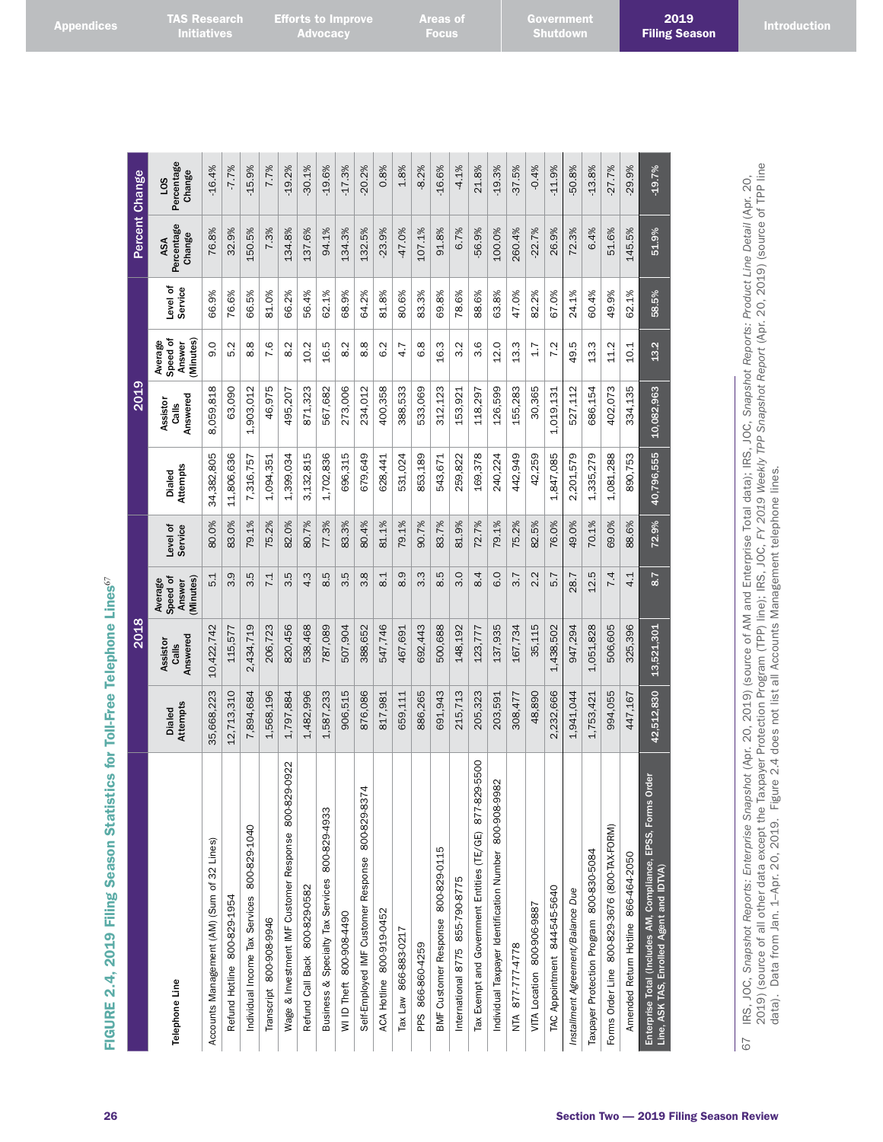|  | <b>Appendices</b> |  |  |  |
|--|-------------------|--|--|--|

| Į           |
|-------------|
| ¢           |
| i<br>I      |
| l           |
|             |
|             |
|             |
|             |
| I<br>I      |
|             |
| ļ<br>¢<br>I |
| i           |
|             |
|             |
| )<br>c      |
| d<br>ۯ      |
| í<br>I      |
| i           |
| i           |
| ١           |
| I<br>ł      |
| ł           |
| ¢<br>١      |
| ŧ           |
| ¢<br>J      |
| þ<br>I      |
|             |
|             |
|             |
| I           |
|             |
| Č           |
|             |
| l<br>ׇ֚֬    |
|             |
| ó           |
|             |
| ¢           |
| J<br>ı      |
| Ľ           |
| н<br>İ      |
|             |
|             |
| I           |
|             |
| I           |
|             |
|             |
| ₹           |
|             |
| Ć           |
| J<br>U      |
|             |
|             |
|             |
|             |
|             |
|             |

|                                                                                                              |                           | 2018                          |                                           |                     |                    | 2019                                 |                                            |                    |                             | Percent Change                          |
|--------------------------------------------------------------------------------------------------------------|---------------------------|-------------------------------|-------------------------------------------|---------------------|--------------------|--------------------------------------|--------------------------------------------|--------------------|-----------------------------|-----------------------------------------|
| Telephone Line                                                                                               | Attempts<br><b>Dialed</b> | Answered<br>Assistor<br>Calls | Speed of<br>Minutes)<br>Average<br>Answer | Level of<br>Service | Attempts<br>Dialed | Answered<br>Assistor<br><b>Calls</b> | Speed of<br>(Minutes)<br>Average<br>Answer | evel of<br>Service | Percentage<br>Change<br>ASA | Percentage<br>Change<br>50 <sub>1</sub> |
| Accounts Management (AM) (Sum of 32 Lines)                                                                   | 35,668,223                | 10,422,742                    | $\overline{5}$ .1                         | 80.0%               | 34,382,805         | 8,059,818                            | Q<br>တ                                     | 66.9%              | 76.8%                       | $-16.4%$                                |
| Refund Hotline 800-829-1954                                                                                  | 12,713,310                | 115,577                       | 3.9                                       | 83.0%               | 11,806,636         | 63,090                               | 5.2                                        | 76.6%              | 32.9%                       | $-7.7%$                                 |
| Individual Income Tax Services 800-829-1040                                                                  | 7,894,684                 | 2,434,719                     | rü<br>ຕ                                   | 79.1%               | 7,316,757          | 1,903,012                            | ∞<br>$\infty$                              | 66.5%              | 150.5%                      | $-15.9%$                                |
| Transcript 800-908-9946                                                                                      | 1,568,196                 | 206,723                       | 7.1                                       | 75.2%               | 1,094,351          | 46,975                               | 7.6                                        | 81.0%              | 7.3%                        | 7.7%                                    |
| 800-829-0922<br>Wage & Investment IMF Customer Response                                                      | 1,797,884                 | 820,456                       | 3.5                                       | 82.0%               | 1,399,034          | 495,207                              | 8.2                                        | 66.2%              | 134.8%                      | $-19.2%$                                |
| Refund Call Back 800-829-0582                                                                                | 1,482,996                 | 538,468                       | 4.3                                       | 80.7%               | 3,132,815          | 871,323                              | 10.2                                       | 56.4%              | 137.6%                      | $-30.1%$                                |
| Business & Specialty Tax Services 800-829-4933                                                               | 1,587,233                 | 787,089                       | 8.5                                       | 77.3%               | 1,702,836          | 567,682                              | 16.5                                       | 62.1%              | 94.1%                       | 19.6%                                   |
| WI ID Theft 800-908-4490                                                                                     | 906,515                   | 507,904                       | rö<br>က                                   | 83.3%               | 696,315            | 273,006                              | Ņ<br>∞ं                                    | 68.9%              | 134.3%                      | 17.3%                                   |
| 4<br>Self-Employed IMF Customer Response 800-829-837                                                         | 876,086                   | 388,652                       | 3.8                                       | 80.4%               | 679,649            | 234,012                              | œ<br>$\infty$                              | 64.2%              | 132.5%                      | $-20.2%$                                |
| ACA Hotline 800-919-0452                                                                                     | 817,981                   | 547,746                       | $\overline{8.1}$                          | 81.1%               | 628,441            | 400,358                              | 6.2                                        | 81.8%              | $-23.9%$                    | 0.8%                                    |
| Tax Law 866-883-0217                                                                                         | 659,111                   | 467,691                       | $\overline{O}$<br>∞                       | 79.1%               | 531,024            | 388,533                              | 4.7                                        | 80.6%              | -47.0%                      | 1.8%                                    |
| PPS 866-860-4259                                                                                             | 886,265                   | 692,443                       | $3.\overline{3}$                          | 90.7%               | 853,189            | 533,069                              | 6.8                                        | 83.3%              | 107.1%                      | $-8.2%$                                 |
| BMF Customer Response 800-829-0115                                                                           | 691,943                   | 500,688                       | 8.5                                       | 83.7%               | 543,671            | 312,123                              | 16.3                                       | 69.8%              | 91.8%                       | 16.6%                                   |
| International 8775 855-790-8775                                                                              | 215,713                   | 148,192                       | 3.0                                       | 81.9%               | 259,822            | 153,921                              | Ņ<br>ო                                     | 78.6%              | 6.7%                        | $-4.1\%$                                |
| 9-5500<br>Tax Exempt and Government Entities (TE/GE) 877-82                                                  | 205,323                   | 123,777                       | 8.4                                       | 72.7%               | 169,378            | 118,297                              | 3.6                                        | 88.6%              | $-56.9%$                    | 21.8%                                   |
| 82<br>Individual Taxpayer Identification Number 800-908-99                                                   | 203,591                   | 137,935                       | 6.0                                       | 79.1%               | 240,224            | 126,599                              | 12.0                                       | 63.8%              | 100.0%                      | 19.3%                                   |
| NTA 877-777-4778                                                                                             | 308,477                   | 167,734                       | 3.7                                       | 75.2%               | 442,949            | 155,283                              | ო<br>$\frac{3}{1}$                         | 47.0%              | 260.4%                      | 37.5%                                   |
| VITA Location 800-906-9887                                                                                   | 48,890                    | 35,115                        | 2.2                                       | 82.5%               | 42,259             | 30,365                               | 1.7                                        | 82.2%              | $-22.7%$                    | $-0.4%$                                 |
| TAC Appointment 844-545-5640                                                                                 | 2,232,666                 | 1,438,502                     | 5.7                                       | 76.0%               | 1,847,085          | 1,019,131                            | 7.2                                        | 67.0%              | 26.9%                       | $-11.9%$                                |
| Installment Agreement/Balance Due                                                                            | 1,941,044                 | 947,294                       | 28.7                                      | 49.0%               | 2,201,579          | 527,112                              | ru.<br>49.                                 | 24.1%              | 72.3%                       | 50.8%                                   |
| Taxpayer Protection Program 800-830-5084                                                                     | 1,753,421                 | 1,051,828                     | 12.5                                      | 70.1%               | 1,335,279          | 686,154                              | 13.3                                       | 60.4%              | 6.4%                        | $-13.8%$                                |
| Forms Order Line 800-829-3676 (800-TAX-FORM)                                                                 | 994,055                   | 506,605                       | 7.4                                       | 69.0%               | 1,081,288          | 402,073                              | 11.2                                       | 49.9%              | 51.6%                       | $-27.7%$                                |
| Amended Return Hotline 866-464-2050                                                                          | 447,167                   | 325,396                       | 4.1                                       | 88.6%               | 890,753            | 334,135                              | 10.1                                       | 62.1%              | 145.5%                      | 29.9%                                   |
| rder<br>Enterprise Total (Includes AM, Compliance, EPSS, Forms O<br>Line, ASK TAS, Enrolled Agent and IDTVA) | 42,512,830                | 13,521,301                    | 8.7                                       | 72.9%               | 40,796,555         | 10,082,963                           | 13.2                                       | 58.5%              | 51.9%                       | $-19.7%$                                |

**TAS Research**<br><u>Initiati</u>ves

**Efforts to Improve Advocacy** 

IRS, JOC, Snapshot Reports: Enterprise Snapshot (Apr. 20, 2019) (source of AM and Enterprise Total data); IRS, JOC, Snapshot Reports: Product Line Detail (Apr. 20,<br>2019) (source of all other data except the Taxpayer Protec 2019) (source of all other data except the Taxpayer Protection Program (TPP) line); IRS, JOC, *FY 2019 Weekly TPP Snapshot Report* (Apr. 20, 2019) (source of TPP line 67 IRS, JOC, *Snapshot Reports: Enterprise Snapshot* (Apr. 20, 2019) (source of AM and Enterprise Total data); IRS, JOC, *Snapshot Reports: Product Line Detail* (Apr. 20, data). Data from Jan. 1–Apr. 20, 2019. Figure 2.4 does not list all Accounts Management telephone lines. $67$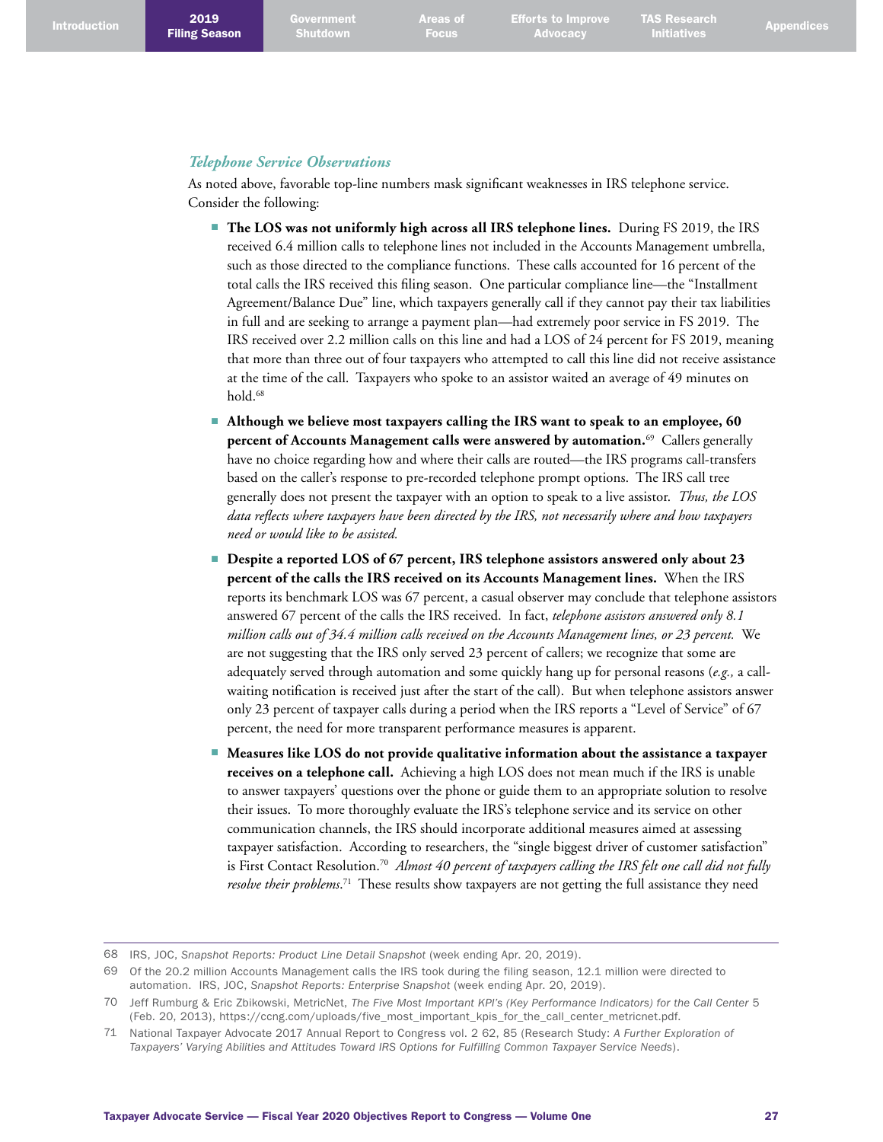## *Telephone Service Observations*

As noted above, favorable top-line numbers mask significant weaknesses in IRS telephone service. Consider the following:

- **The LOS was not uniformly high across all IRS telephone lines.** During FS 2019, the IRS received 6.4 million calls to telephone lines not included in the Accounts Management umbrella, such as those directed to the compliance functions. These calls accounted for 16 percent of the total calls the IRS received this filing season. One particular compliance line—the "Installment Agreement/Balance Due" line, which taxpayers generally call if they cannot pay their tax liabilities in full and are seeking to arrange a payment plan—had extremely poor service in FS 2019. The IRS received over 2.2 million calls on this line and had a LOS of 24 percent for FS 2019, meaning that more than three out of four taxpayers who attempted to call this line did not receive assistance at the time of the call. Taxpayers who spoke to an assistor waited an average of 49 minutes on hold. 68
- **Although we believe most taxpayers calling the IRS want to speak to an employee, 60 percent of Accounts Management calls were answered by automation.**69 Callers generally have no choice regarding how and where their calls are routed—the IRS programs call-transfers based on the caller's response to pre-recorded telephone prompt options. The IRS call tree generally does not present the taxpayer with an option to speak to a live assistor. *Thus, the LOS data reflects where taxpayers have been directed by the IRS, not necessarily where and how taxpayers need or would like to be assisted.*
- Despite a reported LOS of 67 percent, IRS telephone assistors answered only about 23 **percent of the calls the IRS received on its Accounts Management lines.** When the IRS reports its benchmark LOS was 67 percent, a casual observer may conclude that telephone assistors answered 67 percent of the calls the IRS received. In fact, *telephone assistors answered only 8.1 million calls out of 34.4 million calls received on the Accounts Management lines, or 23 percent.* We are not suggesting that the IRS only served 23 percent of callers; we recognize that some are adequately served through automation and some quickly hang up for personal reasons (*e.g.,* a callwaiting notification is received just after the start of the call). But when telephone assistors answer only 23 percent of taxpayer calls during a period when the IRS reports a "Level of Service" of 67 percent, the need for more transparent performance measures is apparent.
- Measures like LOS do not provide qualitative information about the assistance a taxpayer **receives on a telephone call.** Achieving a high LOS does not mean much if the IRS is unable to answer taxpayers' questions over the phone or guide them to an appropriate solution to resolve their issues. To more thoroughly evaluate the IRS's telephone service and its service on other communication channels, the IRS should incorporate additional measures aimed at assessing taxpayer satisfaction. According to researchers, the "single biggest driver of customer satisfaction" is First Contact Resolution. 70 *Almost 40 percent of taxpayers calling the IRS felt one call did not fully resolve their problems*. 71 These results show taxpayers are not getting the full assistance they need

<sup>68</sup> IRS, JOC, *Snapshot Reports: Product Line Detail Snapshot* (week ending Apr. 20, 2019).

<sup>69</sup> Of the 20.2 million Accounts Management calls the IRS took during the filing season, 12.1 million were directed to automation. IRS, JOC, *Snapshot Reports: Enterprise Snapshot* (week ending Apr. 20, 2019).

<sup>70</sup> Jeff Rumburg & Eric Zbikowski, MetricNet, *The Five Most Important KPI's (Key Performance Indicators) for the Call Center* 5 (Feb. 20, 2013), [https://ccng.com/uploads/five\\_most\\_important\\_kpis\\_for\\_the\\_call\\_center\\_metricnet.pdf](https://ccng.com/uploads/five_most_important_kpis_for_the_call_center_metricnet.pdf).

<sup>71</sup> National Taxpayer Advocate 2017 Annual Report to Congress vol. 2 62, 85 (Research Study: *A Further Exploration of Taxpayers' Varying Abilities and Attitudes Toward IRS Options for Fulfilling Common Taxpayer Service Needs*).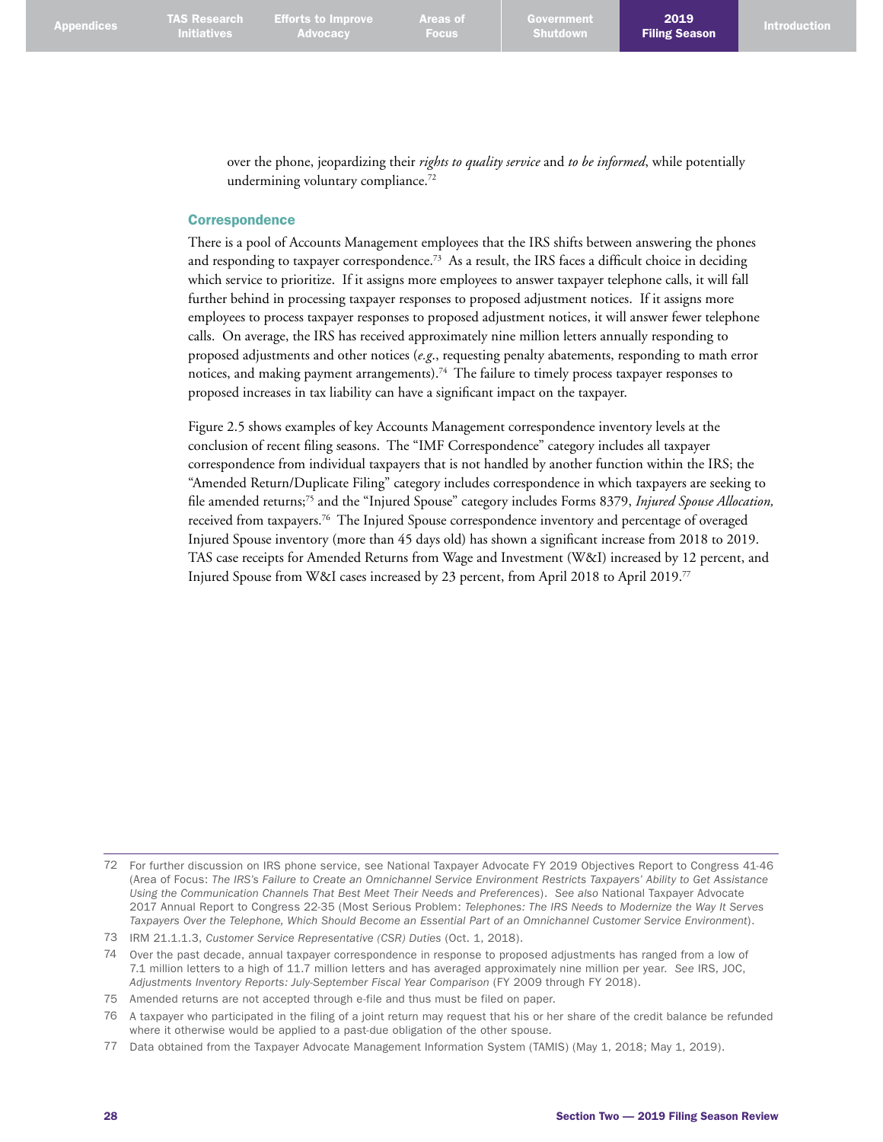**Advocacy** 

2019

over the phone, jeopardizing their *rights to quality service* and *to be informed*, while potentially undermining voluntary compliance.<sup>72</sup>

#### **Correspondence**

There is a pool of Accounts Management employees that the IRS shifts between answering the phones and responding to taxpayer correspondence. 73 As a result, the IRS faces a difficult choice in deciding which service to prioritize. If it assigns more employees to answer taxpayer telephone calls, it will fall further behind in processing taxpayer responses to proposed adjustment notices. If it assigns more employees to process taxpayer responses to proposed adjustment notices, it will answer fewer telephone calls. On average, the IRS has received approximately nine million letters annually responding to proposed adjustments and other notices (*e.g*., requesting penalty abatements, responding to math error notices, and making payment arrangements). 74 The failure to timely process taxpayer responses to proposed increases in tax liability can have a significant impact on the taxpayer.

Figure 2.5 shows examples of key Accounts Management correspondence inventory levels at the conclusion of recent filing seasons. The "IMF Correspondence" category includes all taxpayer correspondence from individual taxpayers that is not handled by another function within the IRS; the "Amended Return/Duplicate Filing" category includes correspondence in which taxpayers are seeking to file amended returns;75 and the "Injured Spouse" category includes Forms 8379, *Injured Spouse Allocation,* received from taxpayers.<sup>76</sup> The Injured Spouse correspondence inventory and percentage of overaged Injured Spouse inventory (more than 45 days old) has shown a significant increase from 2018 to 2019. TAS case receipts for Amended Returns from Wage and Investment (W&I) increased by 12 percent, and Injured Spouse from W&I cases increased by 23 percent, from April 2018 to April 2019. 77

<sup>72</sup> For further discussion on IRS phone service, see National Taxpayer Advocate FY 2019 Objectives Report to Congress 41-46 (Area of Focus: *The IRS's Failure to Create an Omnichannel Service Environment Restricts Taxpayers' Ability to Get Assistance Using the Communication Channels That Best Meet Their Needs and Preferences*). *See also* National Taxpayer Advocate 2017 Annual Report to Congress 22-35 (Most Serious Problem: *Telephones: The IRS Needs to Modernize the Way It Serves Taxpayers Over the Telephone, Which Should Become an Essential Part of an Omnichannel Customer Service Environment*).

<sup>73</sup> IRM 21.1.1.3, *Customer Service Representative (CSR) Duties* (Oct. 1, 2018).

<sup>74</sup> Over the past decade, annual taxpayer correspondence in response to proposed adjustments has ranged from a low of 7.1 million letters to a high of 11.7 million letters and has averaged approximately nine million per year. *See* IRS, JOC, *Adjustments Inventory Reports: July-September Fiscal Year Comparison* (FY 2009 through FY 2018).

<sup>75</sup> Amended returns are not accepted through e-file and thus must be filed on paper.

<sup>76</sup> A taxpayer who participated in the filing of a joint return may request that his or her share of the credit balance be refunded where it otherwise would be applied to a past-due obligation of the other spouse.

<sup>77</sup> Data obtained from the Taxpayer Advocate Management Information System (TAMIS) (May 1, 2018; May 1, 2019).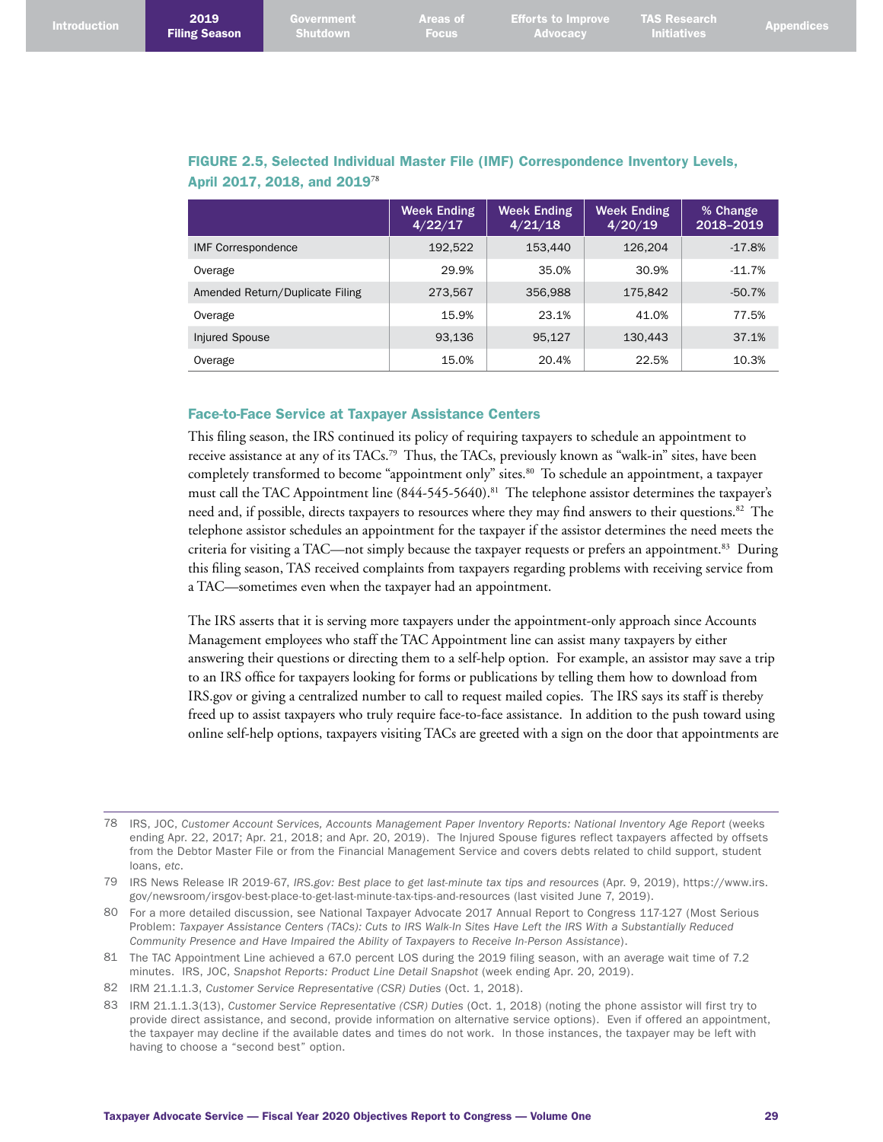| <b>Introduction</b> | 2019<br><b>Filing Season</b> | Government<br>Shutdown | <b>Areas of A</b><br><b>Focus</b> | <b>Efforts to Improve TAS Research \</b><br>$\blacktriangle$ Advocacy | <b>Initiatives</b> | <b>Appendices</b> |
|---------------------|------------------------------|------------------------|-----------------------------------|-----------------------------------------------------------------------|--------------------|-------------------|
|                     |                              |                        |                                   |                                                                       |                    |                   |

## FIGURE 2.5, Selected Individual Master File (IMF) Correspondence Inventory Levels, April 2017, 2018, and 2019<sup>78</sup>

|                                 | <b>Week Ending</b><br>4/22/17 | <b>Week Ending</b><br>4/21/18 | Week Ending<br>4/20/19 | % Change<br>2018-2019 |
|---------------------------------|-------------------------------|-------------------------------|------------------------|-----------------------|
| <b>IMF Correspondence</b>       | 192.522                       | 153,440                       | 126.204                | $-17.8%$              |
| Overage                         | 29.9%                         | 35.0%                         | 30.9%                  | $-11.7%$              |
| Amended Return/Duplicate Filing | 273,567                       | 356,988                       | 175,842                | $-50.7%$              |
| Overage                         | 15.9%                         | 23.1%                         | 41.0%                  | 77.5%                 |
| Injured Spouse                  | 93.136                        | 95.127                        | 130.443                | 37.1%                 |
| Overage                         | 15.0%                         | 20.4%                         | 22.5%                  | 10.3%                 |

#### Face-to-Face Service at Taxpayer Assistance Centers

This filing season, the IRS continued its policy of requiring taxpayers to schedule an appointment to receive assistance at any of its TACs. 79 Thus, the TACs, previously known as "walk-in" sites, have been completely transformed to become "appointment only" sites. 80 To schedule an appointment, a taxpayer must call the TAC Appointment line (844-545-5640). 81 The telephone assistor determines the taxpayer's need and, if possible, directs taxpayers to resources where they may find answers to their questions. 82 The telephone assistor schedules an appointment for the taxpayer if the assistor determines the need meets the criteria for visiting a TAC—not simply because the taxpayer requests or prefers an appointment. 83 During this filing season, TAS received complaints from taxpayers regarding problems with receiving service from a TAC—sometimes even when the taxpayer had an appointment.

The IRS asserts that it is serving more taxpayers under the appointment-only approach since Accounts Management employees who staff the TAC Appointment line can assist many taxpayers by either answering their questions or directing them to a self-help option. For example, an assistor may save a trip to an IRS office for taxpayers looking for forms or publications by telling them how to download from IRS.gov or giving a centralized number to call to request mailed copies. The IRS says its staff is thereby freed up to assist taxpayers who truly require face-to-face assistance. In addition to the push toward using online self-help options, taxpayers visiting TACs are greeted with a sign on the door that appointments are

<sup>78</sup> IRS, JOC, *Customer Account Services, Accounts Management Paper Inventory Reports: National Inventory Age Report* (weeks ending Apr. 22, 2017; Apr. 21, 2018; and Apr. 20, 2019). The Injured Spouse figures reflect taxpayers affected by offsets from the Debtor Master File or from the Financial Management Service and covers debts related to child support, student loans, *etc*.

<sup>79</sup> IRS News Release IR 2019-67, *IRS.gov: Best place to get last-minute tax tips and resources* (Apr. 9, 2019), [https://www.irs.](https://www.irs.gov/newsroom/irsgov-best-place-to-get-last-minute-tax-tips-and-resources) [gov/newsroom/irsgov-best-place-to-get-last-minute-tax-tips-and-resources](https://www.irs.gov/newsroom/irsgov-best-place-to-get-last-minute-tax-tips-and-resources) (last visited June 7, 2019).

<sup>80</sup> For a more detailed discussion, see National Taxpayer Advocate 2017 Annual Report to Congress 117-127 (Most Serious Problem: *Taxpayer Assistance Centers (TACs): Cuts to IRS Walk-In Sites Have Left the IRS With a Substantially Reduced Community Presence and Have Impaired the Ability of Taxpayers to Receive In-Person Assistance*).

<sup>81</sup> The TAC Appointment Line achieved a 67.0 percent LOS during the 2019 filing season, with an average wait time of 7.2 minutes. IRS, JOC, *Snapshot Reports: Product Line Detail Snapshot* (week ending Apr. 20, 2019).

<sup>82</sup> IRM 21.1.1.3, *Customer Service Representative (CSR) Duties* (Oct. 1, 2018).

<sup>83</sup> IRM 21.1.1.3(13), *Customer Service Representative (CSR) Duties* (Oct. 1, 2018) (noting the phone assistor will first try to provide direct assistance, and second, provide information on alternative service options). Even if offered an appointment, the taxpayer may decline if the available dates and times do not work. In those instances, the taxpayer may be left with having to choose a "second best" option.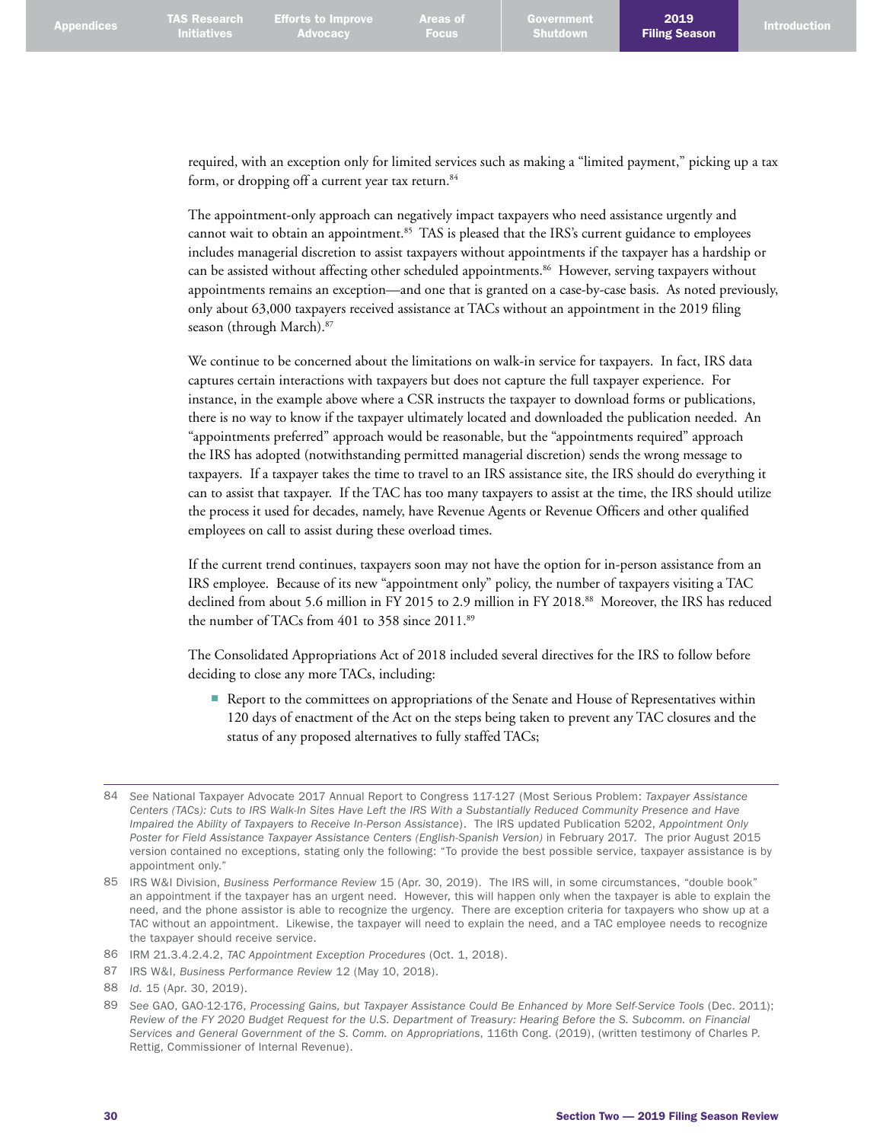required, with an exception only for limited services such as making a "limited payment," picking up a tax form, or dropping off a current year tax return. 84

The appointment-only approach can negatively impact taxpayers who need assistance urgently and cannot wait to obtain an appointment.<sup>85</sup> TAS is pleased that the IRS's current guidance to employees includes managerial discretion to assist taxpayers without appointments if the taxpayer has a hardship or can be assisted without affecting other scheduled appointments. 86 However, serving taxpayers without appointments remains an exception—and one that is granted on a case-by-case basis. As noted previously, only about 63,000 taxpayers received assistance at TACs without an appointment in the 2019 filing season (through March). 87

We continue to be concerned about the limitations on walk-in service for taxpayers. In fact, IRS data captures certain interactions with taxpayers but does not capture the full taxpayer experience. For instance, in the example above where a CSR instructs the taxpayer to download forms or publications, there is no way to know if the taxpayer ultimately located and downloaded the publication needed. An "appointments preferred" approach would be reasonable, but the "appointments required" approach the IRS has adopted (notwithstanding permitted managerial discretion) sends the wrong message to taxpayers. If a taxpayer takes the time to travel to an IRS assistance site, the IRS should do everything it can to assist that taxpayer. If the TAC has too many taxpayers to assist at the time, the IRS should utilize the process it used for decades, namely, have Revenue Agents or Revenue Officers and other qualified employees on call to assist during these overload times.

If the current trend continues, taxpayers soon may not have the option for in-person assistance from an IRS employee. Because of its new "appointment only" policy, the number of taxpayers visiting a TAC declined from about 5.6 million in FY 2015 to 2.9 million in FY 2018. 88 Moreover, the IRS has reduced the number of TACs from 401 to 358 since 2011.<sup>89</sup>

The Consolidated Appropriations Act of 2018 included several directives for the IRS to follow before deciding to close any more TACs, including:

■ Report to the committees on appropriations of the Senate and House of Representatives within 120 days of enactment of the Act on the steps being taken to prevent any TAC closures and the status of any proposed alternatives to fully staffed TACs;

<sup>84</sup> *See* National Taxpayer Advocate 2017 Annual Report to Congress 117-127 (Most Serious Problem: *Taxpayer Assistance Centers (TACs): Cuts to IRS Walk-In Sites Have Left the IRS With a Substantially Reduced Community Presence and Have Impaired the Ability of Taxpayers to Receive In-Person Assistance*). The IRS updated Publication 5202, *Appointment Only Poster for Field Assistance Taxpayer Assistance Centers (English-Spanish Version)* in February 2017. The prior August 2015 version contained no exceptions, stating only the following: "To provide the best possible service, taxpayer assistance is by appointment only."

<sup>85</sup> IRS W&I Division, *Business Performance Review* 15 (Apr. 30, 2019). The IRS will, in some circumstances, "double book" an appointment if the taxpayer has an urgent need. However, this will happen only when the taxpayer is able to explain the need, and the phone assistor is able to recognize the urgency. There are exception criteria for taxpayers who show up at a TAC without an appointment. Likewise, the taxpayer will need to explain the need, and a TAC employee needs to recognize the taxpayer should receive service.

<sup>86</sup> IRM 21.3.4.2.4.2, *TAC Appointment Exception Procedures* (Oct. 1, 2018).

<sup>87</sup> IRS W&I, *Business Performance Review* 12 (May 10, 2018).

<sup>88</sup> *Id*. 15 (Apr. 30, 2019).

<sup>89</sup> *See* GAO, GAO-12-176, *Processing Gains, but Taxpayer Assistance Could Be Enhanced by More Self-Service Tools* (Dec. 2011); *Review of the FY 2020 Budget Request for the U.S. Department of Treasury: Hearing Before the S. Subcomm. on Financial Services and General Government of the S. Comm. on Appropriations*, 116th Cong. (2019), (written testimony of Charles P. Rettig, Commissioner of Internal Revenue).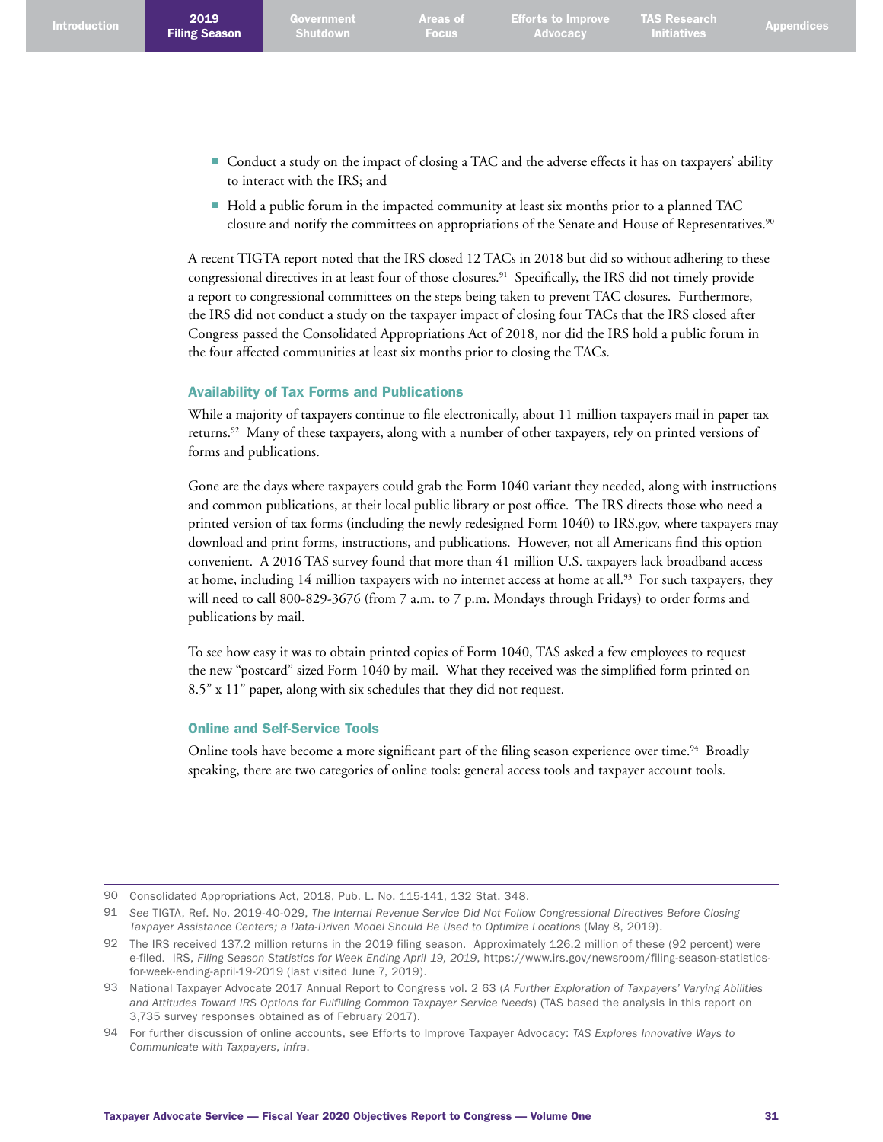- Conduct a study on the impact of closing a TAC and the adverse effects it has on taxpayers' ability to interact with the IRS; and
- Hold a public forum in the impacted community at least six months prior to a planned TAC closure and notify the committees on appropriations of the Senate and House of Representatives. 90

A recent TIGTA report noted that the IRS closed 12 TACs in 2018 but did so without adhering to these congressional directives in at least four of those closures. 91 Specifically, the IRS did not timely provide a report to congressional committees on the steps being taken to prevent TAC closures. Furthermore, the IRS did not conduct a study on the taxpayer impact of closing four TACs that the IRS closed after Congress passed the Consolidated Appropriations Act of 2018, nor did the IRS hold a public forum in the four affected communities at least six months prior to closing the TACs.

### Availability of Tax Forms and Publications

While a majority of taxpayers continue to file electronically, about 11 million taxpayers mail in paper tax returns. 92 Many of these taxpayers, along with a number of other taxpayers, rely on printed versions of forms and publications.

Gone are the days where taxpayers could grab the Form 1040 variant they needed, along with instructions and common publications, at their local public library or post office. The IRS directs those who need a printed version of tax forms (including the newly redesigned Form 1040) to IRS.gov, where taxpayers may download and print forms, instructions, and publications. However, not all Americans find this option convenient. A 2016 TAS survey found that more than 41 million U.S. taxpayers lack broadband access at home, including 14 million taxpayers with no internet access at home at all.<sup>93</sup> For such taxpayers, they will need to call 800-829-3676 (from 7 a.m. to 7 p.m. Mondays through Fridays) to order forms and publications by mail.

To see how easy it was to obtain printed copies of Form 1040, TAS asked a few employees to request the new "postcard" sized Form 1040 by mail. What they received was the simplified form printed on 8.5" x 11" paper, along with six schedules that they did not request.

## Online and Self-Service Tools

Online tools have become a more significant part of the filing season experience over time.<sup>94</sup> Broadly speaking, there are two categories of online tools: general access tools and taxpayer account tools.

<sup>90</sup> Consolidated Appropriations Act, 2018, Pub. L. No. 115-141, 132 Stat. 348.

<sup>91</sup> *See* TIGTA, Ref. No. 2019-40-029, *The Internal Revenue Service Did Not Follow Congressional Directives Before Closing Taxpayer Assistance Centers; a Data-Driven Model Should Be Used to Optimize Locations* (May 8, 2019).

<sup>92</sup> The IRS received 137.2 million returns in the 2019 filing season. Approximately 126.2 million of these (92 percent) were e-filed. IRS, *Filing Season Statistics for Week Ending April 19, 2019*, [https://www.irs.gov/newsroom/filing-season-statistics](https://www.irs.gov/newsroom/filing-season-statistics-for-week-ending-april-19-2019)[for-week-ending-april-19-2019](https://www.irs.gov/newsroom/filing-season-statistics-for-week-ending-april-19-2019) (last visited June 7, 2019).

<sup>93</sup> National Taxpayer Advocate 2017 Annual Report to Congress vol. 2 63 (*A Further Exploration of Taxpayers' Varying Abilities and Attitudes Toward IRS Options for Fulfilling Common Taxpayer Service Needs*) (TAS based the analysis in this report on 3,735 survey responses obtained as of February 2017).

<sup>94</sup> For further discussion of online accounts, see Efforts to Improve Taxpayer Advocacy: *TAS Explores Innovative Ways to Communicate with Taxpayers*, *infra*.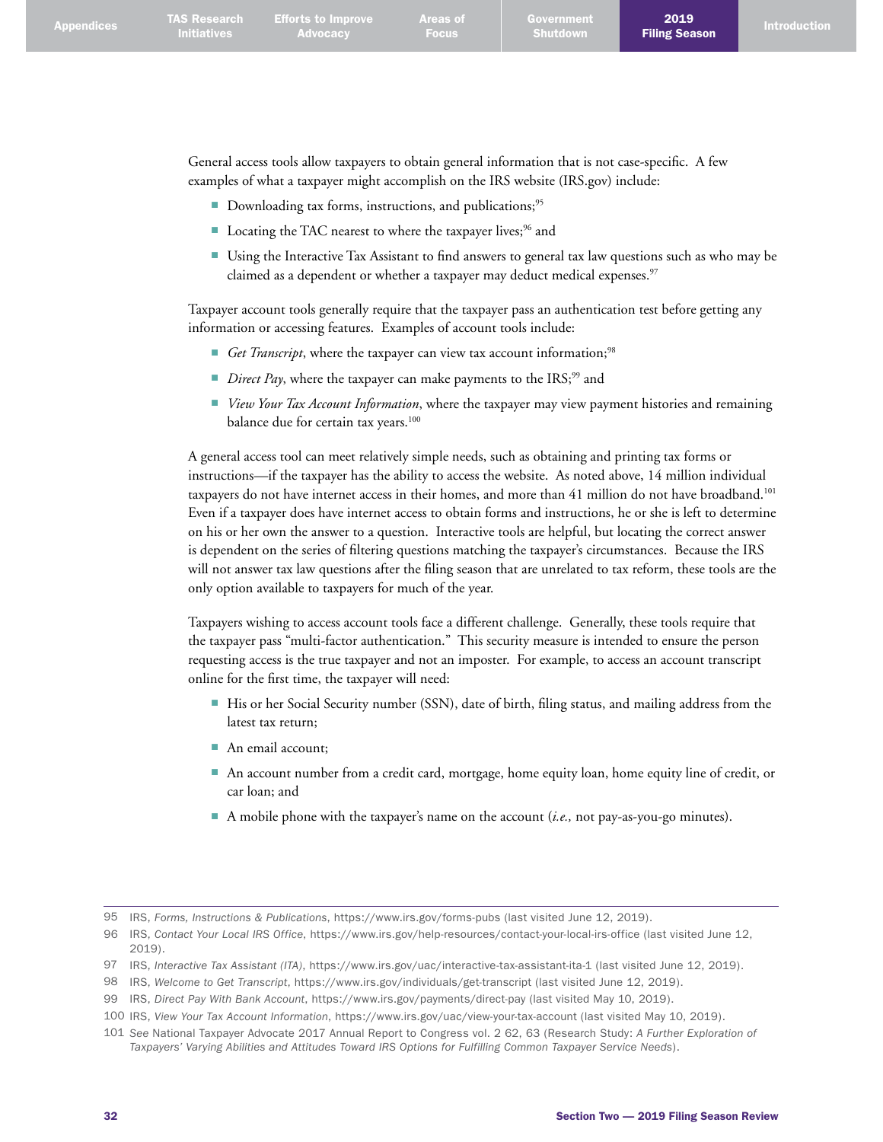General access tools allow taxpayers to obtain general information that is not case-specific. A few examples of what a taxpayer might accomplish on the IRS website (IRS.gov) include:

- Downloading tax forms, instructions, and publications;<sup>95</sup>
- Locating the TAC nearest to where the taxpayer lives;<sup>96</sup> and
- Using the Interactive Tax Assistant to find answers to general tax law questions such as who may be claimed as a dependent or whether a taxpayer may deduct medical expenses. 97

Taxpayer account tools generally require that the taxpayer pass an authentication test before getting any information or accessing features. Examples of account tools include:

- *Get Transcript*, where the taxpayer can view tax account information;<sup>98</sup>
- *Direct Pay*, where the taxpayer can make payments to the IRS;<sup>99</sup> and
- *View Your Tax Account Information*, where the taxpayer may view payment histories and remaining balance due for certain tax years.<sup>100</sup>

A general access tool can meet relatively simple needs, such as obtaining and printing tax forms or instructions—if the taxpayer has the ability to access the website. As noted above, 14 million individual taxpayers do not have internet access in their homes, and more than 41 million do not have broadband.<sup>101</sup> Even if a taxpayer does have internet access to obtain forms and instructions, he or she is left to determine on his or her own the answer to a question. Interactive tools are helpful, but locating the correct answer is dependent on the series of filtering questions matching the taxpayer's circumstances. Because the IRS will not answer tax law questions after the filing season that are unrelated to tax reform, these tools are the only option available to taxpayers for much of the year.

Taxpayers wishing to access account tools face a different challenge. Generally, these tools require that the taxpayer pass "multi-factor authentication." This security measure is intended to ensure the person requesting access is the true taxpayer and not an imposter. For example, to access an account transcript online for the first time, the taxpayer will need:

- His or her Social Security number (SSN), date of birth, filing status, and mailing address from the latest tax return;
- An email account;
- An account number from a credit card, mortgage, home equity loan, home equity line of credit, or car loan; and
- A mobile phone with the taxpayer's name on the account (*i.e.*, not pay-as-you-go minutes).

<sup>95</sup> IRS, *Forms, Instructions & Publications*, <https://www.irs.gov/forms-pubs> (last visited June 12, 2019).

<sup>96</sup> IRS, *Contact Your Local IRS Office*, <https://www.irs.gov/help-resources/contact-your-local-irs-office>(last visited June 12, 2019).

<sup>97</sup> IRS, *Interactive Tax Assistant (ITA)*, <https://www.irs.gov/uac/interactive-tax-assistant-ita-1>(last visited June 12, 2019).

<sup>98</sup> IRS, *Welcome to Get Transcript*,<https://www.irs.gov/individuals/get-transcript>(last visited June 12, 2019).

<sup>99</sup> IRS, *Direct Pay With Bank Account*,<https://www.irs.gov/payments/direct-pay>(last visited May 10, 2019).

<sup>100</sup> IRS, *View Your Tax Account Information*, <https://www.irs.gov/uac/view-your-tax-account> (last visited May 10, 2019).

<sup>101</sup> *See* National Taxpayer Advocate 2017 Annual Report to Congress vol. 2 62, 63 (Research Study: *A Further Exploration of Taxpayers' Varying Abilities and Attitudes Toward IRS Options for Fulfilling Common Taxpayer Service Needs*).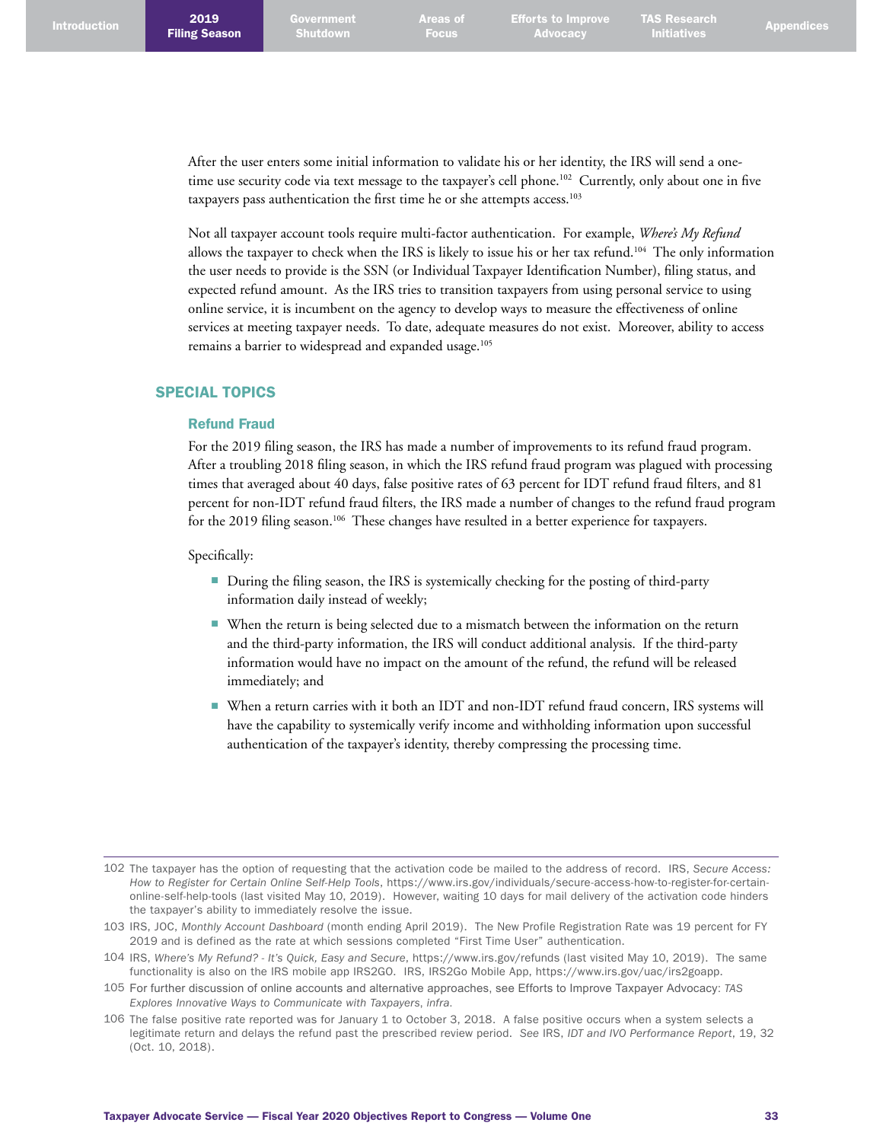After the user enters some initial information to validate his or her identity, the IRS will send a onetime use security code via text message to the taxpayer's cell phone. 102 Currently, only about one in five taxpayers pass authentication the first time he or she attempts access. 103

Not all taxpayer account tools require multi-factor authentication. For example, *Where's My Refund* allows the taxpayer to check when the IRS is likely to issue his or her tax refund.<sup>104</sup> The only information the user needs to provide is the SSN (or Individual Taxpayer Identification Number), filing status, and expected refund amount. As the IRS tries to transition taxpayers from using personal service to using online service, it is incumbent on the agency to develop ways to measure the effectiveness of online services at meeting taxpayer needs. To date, adequate measures do not exist. Moreover, ability to access remains a barrier to widespread and expanded usage. 105

#### SPECIAL TOPICS

#### Refund Fraud

For the 2019 filing season, the IRS has made a number of improvements to its refund fraud program. After a troubling 2018 filing season, in which the IRS refund fraud program was plagued with processing times that averaged about 40 days, false positive rates of 63 percent for IDT refund fraud filters, and 81 percent for non-IDT refund fraud filters, the IRS made a number of changes to the refund fraud program for the 2019 filing season.<sup>106</sup> These changes have resulted in a better experience for taxpayers.

Specifically:

- During the filing season, the IRS is systemically checking for the posting of third-party information daily instead of weekly;
- When the return is being selected due to a mismatch between the information on the return and the third-party information, the IRS will conduct additional analysis. If the third-party information would have no impact on the amount of the refund, the refund will be released immediately; and
- When a return carries with it both an IDT and non-IDT refund fraud concern, IRS systems will have the capability to systemically verify income and withholding information upon successful authentication of the taxpayer's identity, thereby compressing the processing time.

<sup>102</sup> The taxpayer has the option of requesting that the activation code be mailed to the address of record. IRS, *Secure Access: How to Register for Certain Online Self-Help Tools*, [https://www.irs.gov/individuals/secure-access-how-to-register-for-certain](https://www.irs.gov/individuals/secure-access-how-to-register-for-certain-online-self-help-tools)[online-self-help-tools](https://www.irs.gov/individuals/secure-access-how-to-register-for-certain-online-self-help-tools) (last visited May 10, 2019). However, waiting 10 days for mail delivery of the activation code hinders the taxpayer's ability to immediately resolve the issue.

<sup>103</sup> IRS, JOC, *Monthly Account Dashboard* (month ending April 2019). The New Profile Registration Rate was 19 percent for FY 2019 and is defined as the rate at which sessions completed "First Time User" authentication.

<sup>104</sup> IRS, *Where's My Refund? - It's Quick, Easy and Secure*, <https://www.irs.gov/refunds> (last visited May 10, 2019). The same functionality is also on the IRS mobile app IRS2GO. IRS, IRS2Go Mobile App, <https://www.irs.gov/uac/irs2goapp>.

<sup>105</sup> For further discussion of online accounts and alternative approaches, see Efforts to Improve Taxpayer Advocacy: *TAS Explores Innovative Ways to Communicate with Taxpayers*, *infra*.

<sup>106</sup> The false positive rate reported was for January 1 to October 3, 2018. A false positive occurs when a system selects a legitimate return and delays the refund past the prescribed review period. *See* IRS, *IDT and IVO Performance Report*, 19, 32 (Oct. 10, 2018).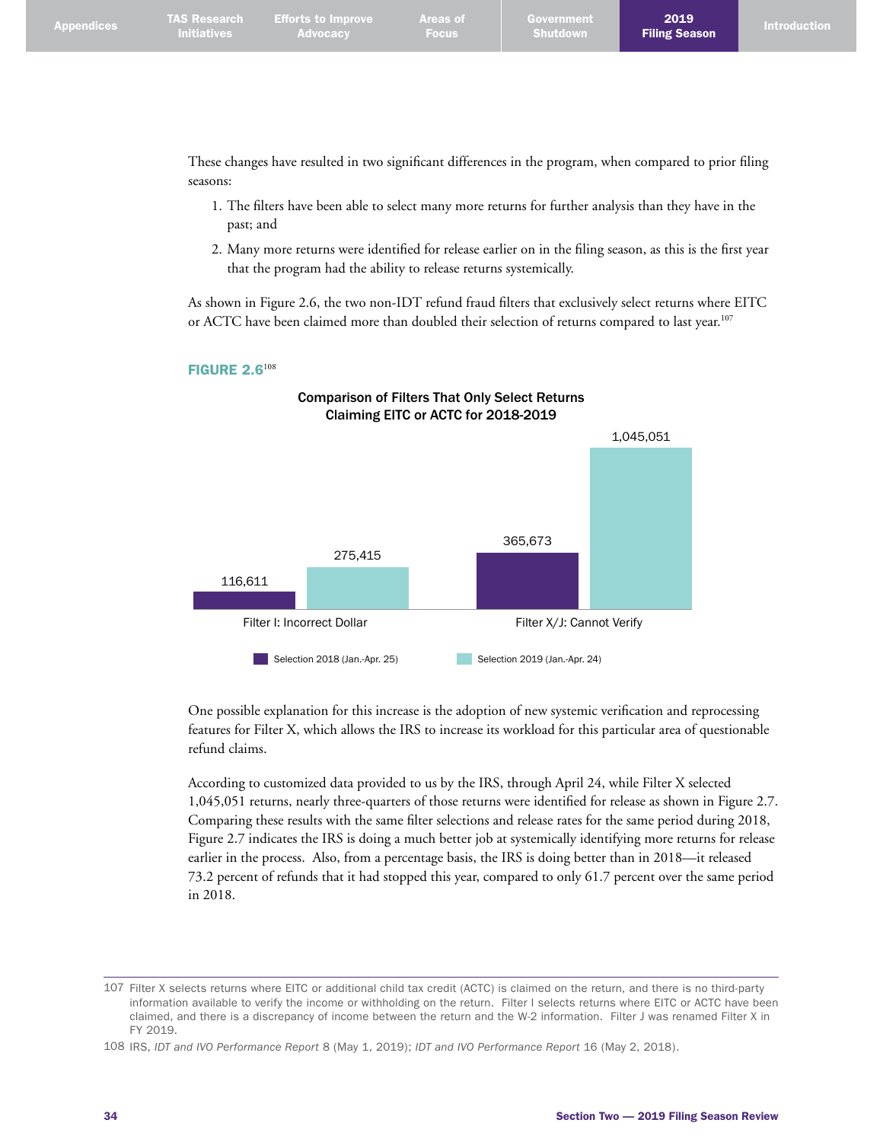2019

These changes have resulted in two significant differences in the program, when compared to prior filing seasons:

- 1. The filters have been able to select many more returns for further analysis than they have in the past; and
- 2. Many more returns were identified for release earlier on in the filing season, as this is the first year that the program had the ability to release returns systemically.

As shown in Figure 2.6, the two non-IDT refund fraud filters that exclusively select returns where EITC or ACTC have been claimed more than doubled their selection of returns compared to last year.<sup>107</sup>



Comparison of Filters That Only Select Returns

# **FIGURE 2.6<sup>108</sup>**

One possible explanation for this increase is the adoption of new systemic verification and reprocessing features for Filter X, which allows the IRS to increase its workload for this particular area of questionable refund claims.

According to customized data provided to us by the IRS, through April 24, while Filter X selected 1,045,051 returns, nearly three-quarters of those returns were identified for release as shown in Figure 2.7. Comparing these results with the same filter selections and release rates for the same period during 2018, Figure 2.7 indicates the IRS is doing a much better job at systemically identifying more returns for release earlier in the process. Also, from a percentage basis, the IRS is doing better than in 2018—it released 73.2 percent of refunds that it had stopped this year, compared to only 61.7 percent over the same period in 2018.

<sup>107</sup> Filter X selects returns where EITC or additional child tax credit (ACTC) is claimed on the return, and there is no third-party information available to verify the income or withholding on the return. Filter I selects returns where EITC or ACTC have been claimed, and there is a discrepancy of income between the return and the W-2 information. Filter J was renamed Filter X in FY 2019.

<sup>108</sup> IRS, *IDT and IVO Performance Report* 8 (May 1, 2019); *IDT and IVO Performance Report* 16 (May 2, 2018).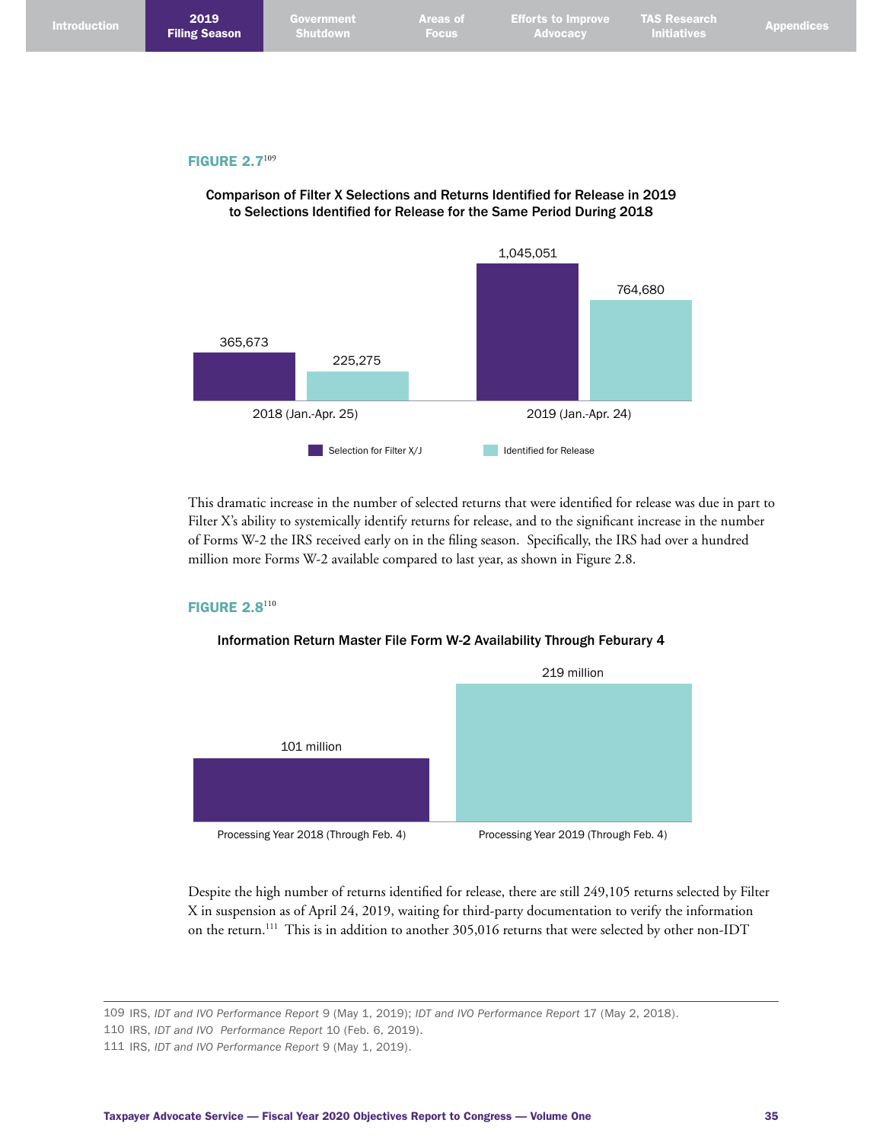| <b>Introduction</b> | 2019<br><b>Filing Season</b> | Government<br>Shutdown | <b>Areas of</b><br><b>Focus</b> | <b>Efforts to Improve</b><br><b>Advocacy</b> | <b>TAS Research</b><br><b>Initiatives</b> | <b>Appendices</b> |
|---------------------|------------------------------|------------------------|---------------------------------|----------------------------------------------|-------------------------------------------|-------------------|
|                     |                              |                        |                                 |                                              |                                           |                   |
|                     |                              |                        |                                 |                                              |                                           |                   |
|                     | FIGURE $2.7^{109}$           |                        |                                 |                                              |                                           |                   |

#### GURE 2.7





This dramatic increase in the number of selected returns that were identified for release was due in part to Filter X's ability to systemically identify returns for release, and to the significant increase in the number of Forms W-2 the IRS received early on in the filing season. Specifically, the IRS had over a hundred million more Forms W-2 available compared to last year, as shown in Figure 2.8.

#### **FIGURE 2.8**110

#### Information Return Master File Form W-2 Availability Through Feburary 4



Despite the high number of returns identified for release, there are still 249,105 returns selected by Filter X in suspension as of April 24, 2019, waiting for third-party documentation to verify the information on the return. 111 This is in addition to another 305,016 returns that were selected by other non-IDT

109 IRS, *IDT and IVO Performance Report* 9 (May 1, 2019); *IDT and IVO Performance Report* 17 (May 2, 2018).

110 IRS, *IDT and IVO Performance Report* 10 (Feb. 6, 2019).

<sup>111</sup> IRS, *IDT and IVO Performance Report* 9 (May 1, 2019).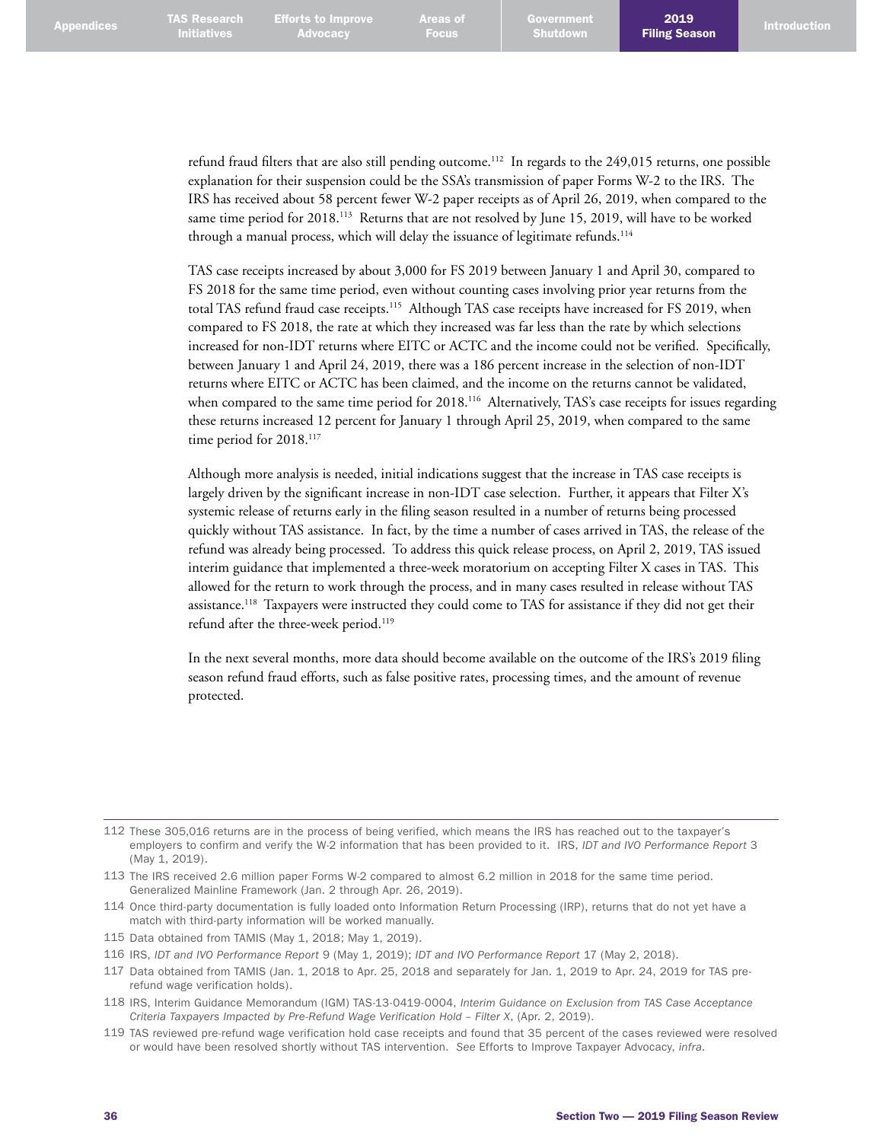refund fraud filters that are also still pending outcome. 112 In regards to the 249,015 returns, one possible explanation for their suspension could be the SSA's transmission of paper Forms W-2 to the IRS. The IRS has received about 58 percent fewer W-2 paper receipts as of April 26, 2019, when compared to the same time period for 2018.<sup>113</sup> Returns that are not resolved by June 15, 2019, will have to be worked through a manual process, which will delay the issuance of legitimate refunds.<sup>114</sup>

TAS case receipts increased by about 3,000 for FS 2019 between January 1 and April 30, compared to FS 2018 for the same time period, even without counting cases involving prior year returns from the total TAS refund fraud case receipts.<sup>115</sup> Although TAS case receipts have increased for FS 2019, when compared to FS 2018, the rate at which they increased was far less than the rate by which selections increased for non-IDT returns where EITC or ACTC and the income could not be verified. Specifically, between January 1 and April 24, 2019, there was a 186 percent increase in the selection of non-IDT returns where EITC or ACTC has been claimed, and the income on the returns cannot be validated, when compared to the same time period for 2018.<sup>116</sup> Alternatively, TAS's case receipts for issues regarding these returns increased 12 percent for January 1 through April 25, 2019, when compared to the same time period for 2018.<sup>117</sup>

Although more analysis is needed, initial indications suggest that the increase in TAS case receipts is largely driven by the significant increase in non-IDT case selection. Further, it appears that Filter X's systemic release of returns early in the filing season resulted in a number of returns being processed quickly without TAS assistance. In fact, by the time a number of cases arrived in TAS, the release of the refund was already being processed. To address this quick release process, on April 2, 2019, TAS issued interim guidance that implemented a three-week moratorium on accepting Filter X cases in TAS. This allowed for the return to work through the process, and in many cases resulted in release without TAS assistance. 118 Taxpayers were instructed they could come to TAS for assistance if they did not get their refund after the three-week period. 119

In the next several months, more data should become available on the outcome of the IRS's 2019 filing season refund fraud efforts, such as false positive rates, processing times, and the amount of revenue protected.

<sup>112</sup> These 305,016 returns are in the process of being verified, which means the IRS has reached out to the taxpayer's employers to confirm and verify the W-2 information that has been provided to it. IRS, *IDT and IVO Performance Report* 3 (May 1, 2019).

<sup>113</sup> The IRS received 2.6 million paper Forms W-2 compared to almost 6.2 million in 2018 for the same time period. Generalized Mainline Framework (Jan. 2 through Apr. 26, 2019).

<sup>114</sup> Once third-party documentation is fully loaded onto Information Return Processing (IRP), returns that do not yet have a match with third-party information will be worked manually.

<sup>115</sup> Data obtained from TAMIS (May 1, 2018; May 1, 2019).

<sup>116</sup> IRS, *IDT and IVO Performance Report* 9 (May 1, 2019); *IDT and IVO Performance Report* 17 (May 2, 2018).

<sup>117</sup> Data obtained from TAMIS (Jan. 1, 2018 to Apr. 25, 2018 and separately for Jan. 1, 2019 to Apr. 24, 2019 for TAS prerefund wage verification holds).

<sup>118</sup> IRS, Interim Guidance Memorandum (IGM) TAS-13-0419-0004, *Interim Guidance on Exclusion from TAS Case Acceptance Criteria Taxpayers Impacted by Pre-Refund Wage Verification Hold – Filter X*, (Apr. 2, 2019).

<sup>119</sup> TAS reviewed pre-refund wage verification hold case receipts and found that 35 percent of the cases reviewed were resolved or would have been resolved shortly without TAS intervention. *See* Efforts to Improve Taxpayer Advocacy, *infra*.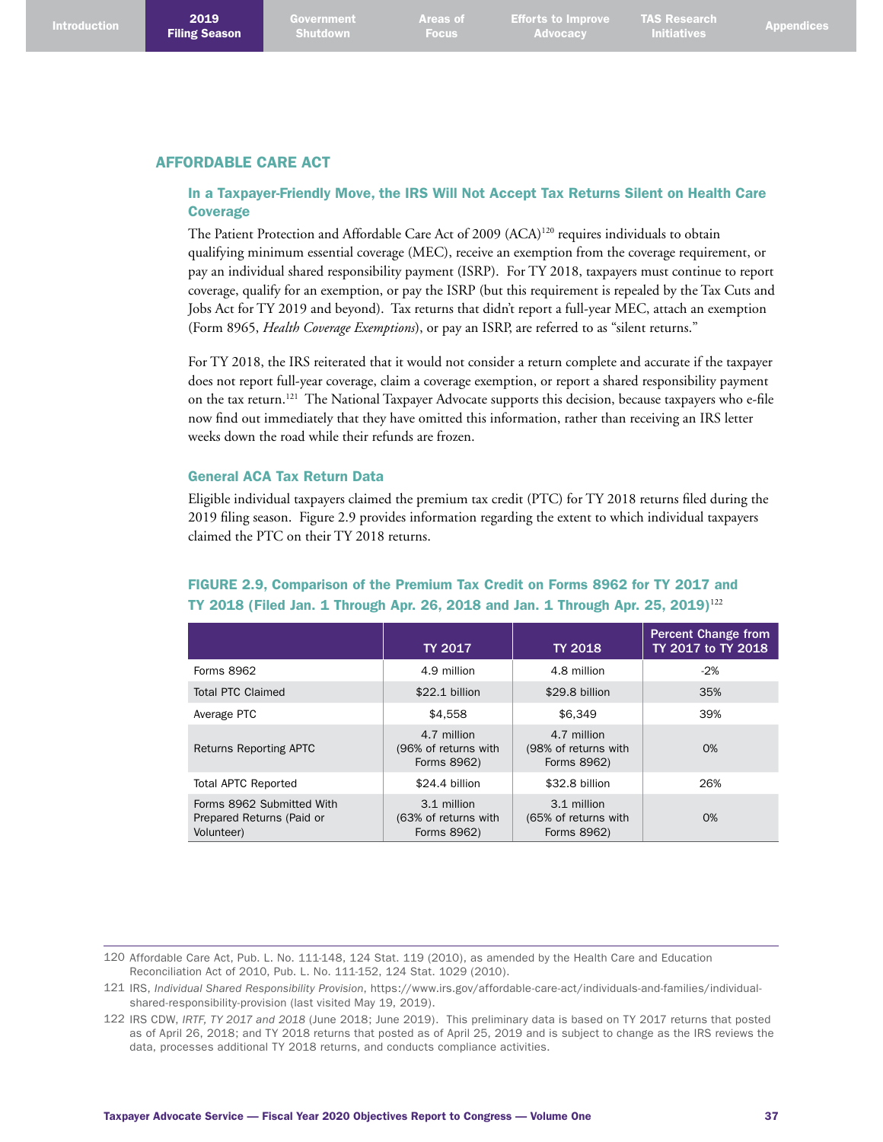#### AFFORDABLE CARE ACT

### In a Taxpayer-Friendly Move, the IRS Will Not Accept Tax Returns Silent on Health Care **Coverage**

The Patient Protection and Affordable Care Act of 2009 (ACA)<sup>120</sup> requires individuals to obtain qualifying minimum essential coverage (MEC), receive an exemption from the coverage requirement, or pay an individual shared responsibility payment (ISRP). For TY 2018, taxpayers must continue to report coverage, qualify for an exemption, or pay the ISRP (but this requirement is repealed by the Tax Cuts and Jobs Act for TY 2019 and beyond). Tax returns that didn't report a full-year MEC, attach an exemption (Form 8965, *Health Coverage Exemptions*), or pay an ISRP, are referred to as "silent returns."

For TY 2018, the IRS reiterated that it would not consider a return complete and accurate if the taxpayer does not report full-year coverage, claim a coverage exemption, or report a shared responsibility payment on the tax return.<sup>121</sup> The National Taxpayer Advocate supports this decision, because taxpayers who e-file now find out immediately that they have omitted this information, rather than receiving an IRS letter weeks down the road while their refunds are frozen.

#### General ACA Tax Return Data

Eligible individual taxpayers claimed the premium tax credit (PTC) for TY 2018 returns filed during the 2019 filing season. Figure 2.9 provides information regarding the extent to which individual taxpayers claimed the PTC on their TY 2018 returns.

## FIGURE 2.9, Comparison of the Premium Tax Credit on Forms 8962 for TY 2017 and TY 2018 (Filed Jan. 1 Through Apr. 26, 2018 and Jan. 1 Through Apr. 25, 2019)<sup>122</sup>

|                                                                      | <b>TY 2017</b>                                     | <b>TY 2018</b>                                     | <b>Percent Change from</b><br>TY 2017 to TY 2018 |
|----------------------------------------------------------------------|----------------------------------------------------|----------------------------------------------------|--------------------------------------------------|
| Forms 8962                                                           | 4.9 million                                        | 4.8 million                                        | $-2%$                                            |
| Total PTC Claimed                                                    | $$22.1$ billion                                    | \$29.8 billion                                     | 35%                                              |
| Average PTC                                                          | \$4.558                                            | \$6.349                                            | 39%                                              |
| <b>Returns Reporting APTC</b>                                        | 4.7 million<br>(96% of returns with<br>Forms 8962) | 4.7 million<br>(98% of returns with<br>Forms 8962) | $O\%$                                            |
| <b>Total APTC Reported</b>                                           | \$24.4 billion                                     | \$32.8 billion                                     | 26%                                              |
| Forms 8962 Submitted With<br>Prepared Returns (Paid or<br>Volunteer) | 3.1 million<br>(63% of returns with<br>Forms 8962) | 3.1 million<br>(65% of returns with<br>Forms 8962) | $O\%$                                            |

120 Affordable Care Act, Pub. L. No. 111-148, 124 Stat. 119 (2010), as amended by the Health Care and Education Reconciliation Act of 2010, Pub. L. No. 111-152, 124 Stat. 1029 (2010).

<sup>121</sup> IRS, *Individual Shared Responsibility Provision*, [https://www.irs.gov/affordable-care-act/individuals-and-families/individual](https://www.irs.gov/affordable-care-act/individuals-and-families/individual-shared-responsibility-provision)[shared-responsibility-provision](https://www.irs.gov/affordable-care-act/individuals-and-families/individual-shared-responsibility-provision) (last visited May 19, 2019).

<sup>122</sup> IRS CDW, *IRTF, TY 2017 and 2018* (June 2018; June 2019). This preliminary data is based on TY 2017 returns that posted as of April 26, 2018; and TY 2018 returns that posted as of April 25, 2019 and is subject to change as the IRS reviews the data, processes additional TY 2018 returns, and conducts compliance activities.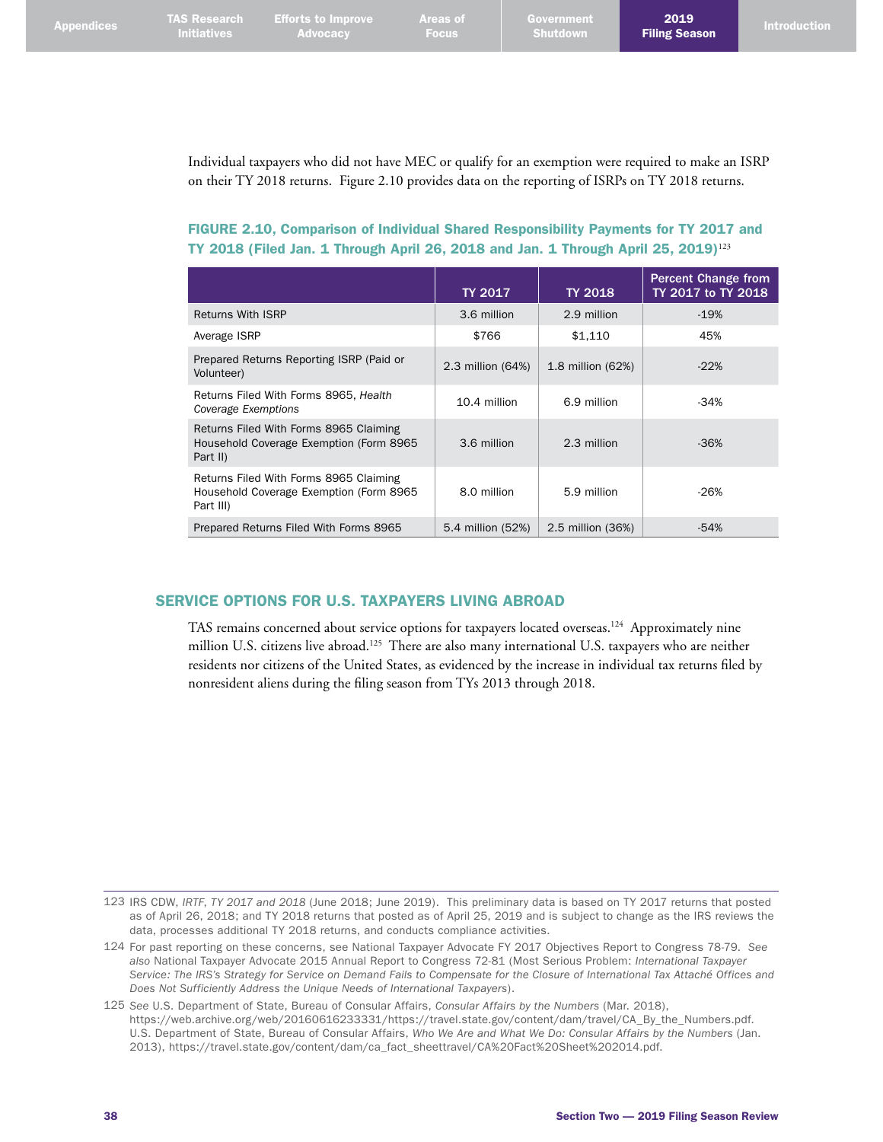2019

Individual taxpayers who did not have MEC or qualify for an exemption were required to make an ISRP on their TY 2018 returns. Figure 2.10 provides data on the reporting of ISRPs on TY 2018 returns.

FIGURE 2.10, Comparison of Individual Shared Responsibility Payments for TY 2017 and TY 2018 (Filed Jan. 1 Through April 26, 2018 and Jan. 1 Through April 25, 2019)<sup>123</sup>

|                                                                                                | TY 2017           | <b>TY 2018</b>    | <b>Percent Change from</b><br>TY 2017 to TY 2018 |
|------------------------------------------------------------------------------------------------|-------------------|-------------------|--------------------------------------------------|
| Returns With ISRP                                                                              | 3.6 million       | 2.9 million       | $-19%$                                           |
| Average ISRP                                                                                   | \$766             | \$1.110           | 45%                                              |
| Prepared Returns Reporting ISRP (Paid or<br>Volunteer)                                         | 2.3 million (64%) | 1.8 million (62%) | $-22%$                                           |
| Returns Filed With Forms 8965, Health<br>Coverage Exemptions                                   | 10.4 million      | 6.9 million       | $-34%$                                           |
| Returns Filed With Forms 8965 Claiming<br>Household Coverage Exemption (Form 8965<br>Part II)  | 3.6 million       | 2.3 million       | $-36%$                                           |
| Returns Filed With Forms 8965 Claiming<br>Household Coverage Exemption (Form 8965<br>Part III) | 8.0 million       | 5.9 million       | $-26%$                                           |
| Prepared Returns Filed With Forms 8965                                                         | 5.4 million (52%) | 2.5 million (36%) | $-54%$                                           |

## SERVICE OPTIONS FOR U.S. TAXPAYERS LIVING ABROAD

TAS remains concerned about service options for taxpayers located overseas. 124 Approximately nine million U.S. citizens live abroad.<sup>125</sup> There are also many international U.S. taxpayers who are neither residents nor citizens of the United States, as evidenced by the increase in individual tax returns filed by nonresident aliens during the filing season from TYs 2013 through 2018.

<sup>123</sup> IRS CDW, *IRTF*, *TY 2017 and 2018* (June 2018; June 2019). This preliminary data is based on TY 2017 returns that posted as of April 26, 2018; and TY 2018 returns that posted as of April 25, 2019 and is subject to change as the IRS reviews the data, processes additional TY 2018 returns, and conducts compliance activities.

<sup>124</sup> For past reporting on these concerns, see National Taxpayer Advocate FY 2017 Objectives Report to Congress 78-79. *See also* National Taxpayer Advocate 2015 Annual Report to Congress 72-81 (Most Serious Problem: *International Taxpayer Service: The IRS's Strategy for Service on Demand Fails to Compensate for the Closure of International Tax Attaché Offices and Does Not Sufficiently Address the Unique Needs of International Taxpayers*).

<sup>125</sup> *See* U.S. Department of State, Bureau of Consular Affairs, *Consular Affairs by the Numbers* (Mar. 2018), [https://web.archive.org/web/20160616233331/https://travel.state.gov/content/dam/travel/CA\\_By\\_the\\_Numbers.pdf.](https://web.archive.org/web/20160616233331/https://travel.state.gov/content/dam/travel/CA_By_the_Numbers.pdf) U.S. Department of State, Bureau of Consular Affairs, *Who We Are and What We Do: Consular Affairs by the Numbers* (Jan. 2013), [https://travel.state.gov/content/dam/ca\\_fact\\_sheettravel/CA%20Fact%20Sheet%202014.pdf](https://travel.state.gov/content/dam/ca_fact_sheet.pdf).